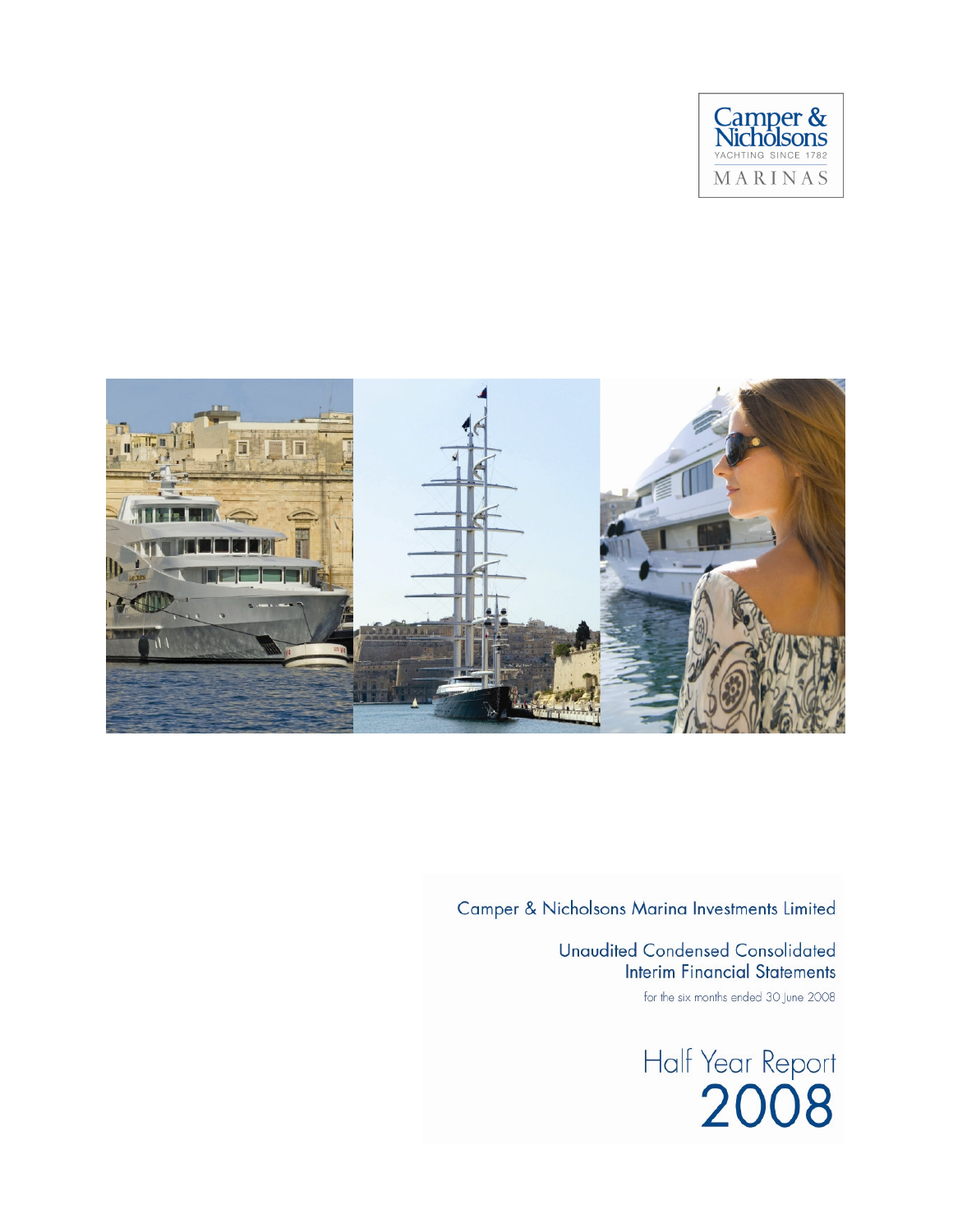



Camper & Nicholsons Marina Investments Limited

**Unaudited Condensed Consolidated Interim Financial Statements** for the six months ended 30 June 2008

Half Year Report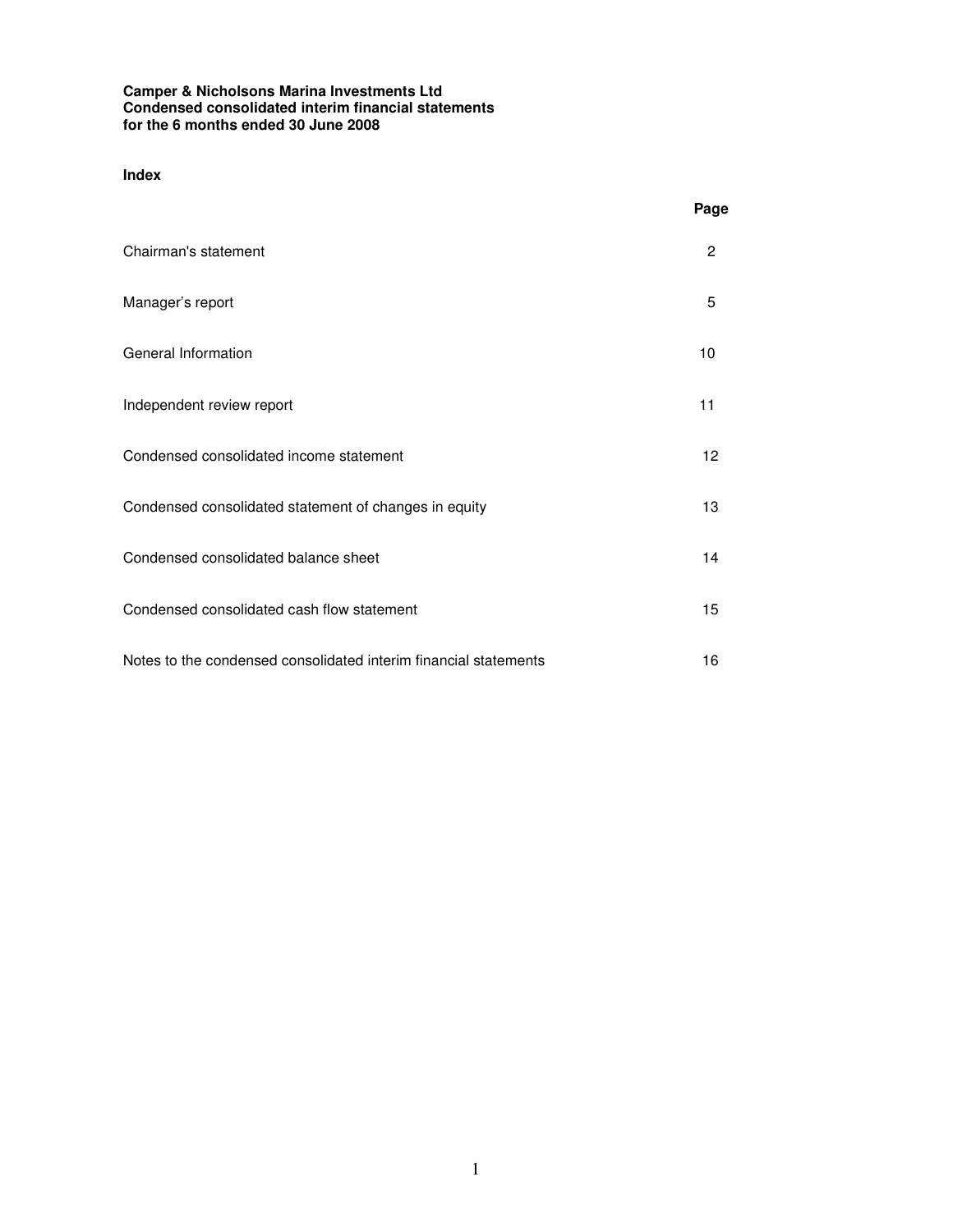# **Index**

|                                                                  | Page           |
|------------------------------------------------------------------|----------------|
| Chairman's statement                                             | $\overline{c}$ |
| Manager's report                                                 | 5              |
| General Information                                              | 10             |
| Independent review report                                        | 11             |
| Condensed consolidated income statement                          | 12             |
| Condensed consolidated statement of changes in equity            | 13             |
| Condensed consolidated balance sheet                             | 14             |
| Condensed consolidated cash flow statement                       | 15             |
| Notes to the condensed consolidated interim financial statements | 16             |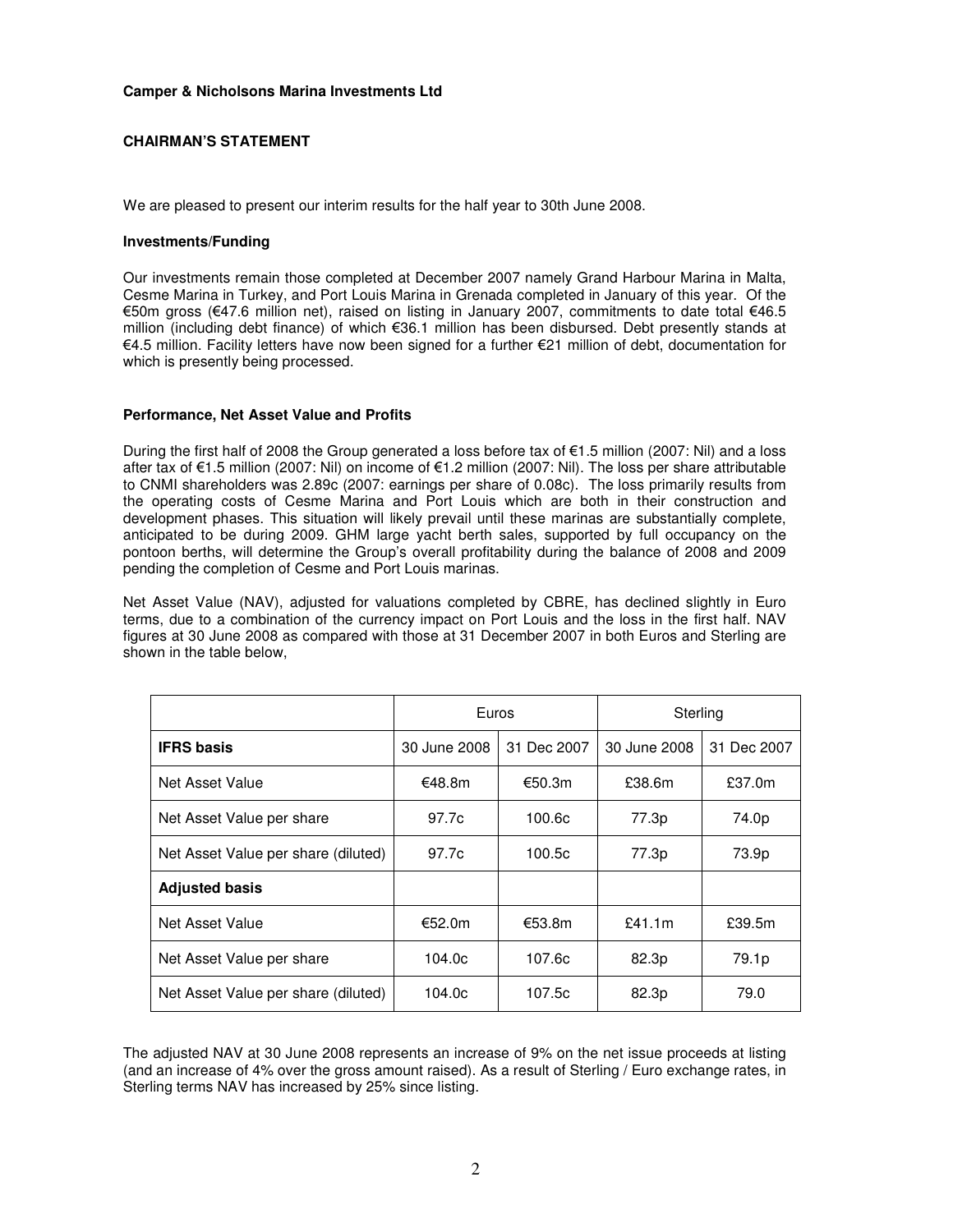## **Camper & Nicholsons Marina Investments Ltd**

# **CHAIRMAN'S STATEMENT**

We are pleased to present our interim results for the half year to 30th June 2008.

## **Investments/Funding**

Our investments remain those completed at December 2007 namely Grand Harbour Marina in Malta, Cesme Marina in Turkey, and Port Louis Marina in Grenada completed in January of this year. Of the €50m gross (€47.6 million net), raised on listing in January 2007, commitments to date total €46.5 million (including debt finance) of which €36.1 million has been disbursed. Debt presently stands at €4.5 million. Facility letters have now been signed for a further €21 million of debt, documentation for which is presently being processed.

## **Performance, Net Asset Value and Profits**

During the first half of 2008 the Group generated a loss before tax of €1.5 million (2007: Nil) and a loss after tax of €1.5 million (2007: Nil) on income of €1.2 million (2007: Nil). The loss per share attributable to CNMI shareholders was 2.89c (2007: earnings per share of 0.08c). The loss primarily results from the operating costs of Cesme Marina and Port Louis which are both in their construction and development phases. This situation will likely prevail until these marinas are substantially complete, anticipated to be during 2009. GHM large yacht berth sales, supported by full occupancy on the pontoon berths, will determine the Group's overall profitability during the balance of 2008 and 2009 pending the completion of Cesme and Port Louis marinas.

Net Asset Value (NAV), adjusted for valuations completed by CBRE, has declined slightly in Euro terms, due to a combination of the currency impact on Port Louis and the loss in the first half. NAV figures at 30 June 2008 as compared with those at 31 December 2007 in both Euros and Sterling are shown in the table below,

|                                     | Euros        |             | Sterling     |             |
|-------------------------------------|--------------|-------------|--------------|-------------|
| <b>IFRS basis</b>                   | 30 June 2008 | 31 Dec 2007 | 30 June 2008 | 31 Dec 2007 |
| Net Asset Value                     | €48.8m       | €50.3m      | £38.6m       | £37.0m      |
| Net Asset Value per share           | 97.7c        | 100.6c      | 77.3p        | 74.0p       |
| Net Asset Value per share (diluted) | 97.7c        | 100.5c      | 77.3p        | 73.9p       |
| <b>Adjusted basis</b>               |              |             |              |             |
| Net Asset Value                     | €52.0m       | €53.8m      | £41.1 $m$    | £39.5m      |
| Net Asset Value per share           | 104.0c       | 107.6c      | 82.3p        | 79.1p       |
| Net Asset Value per share (diluted) | 104.0c       | 107.5c      | 82.3p        | 79.0        |

The adjusted NAV at 30 June 2008 represents an increase of 9% on the net issue proceeds at listing (and an increase of 4% over the gross amount raised). As a result of Sterling / Euro exchange rates, in Sterling terms NAV has increased by 25% since listing.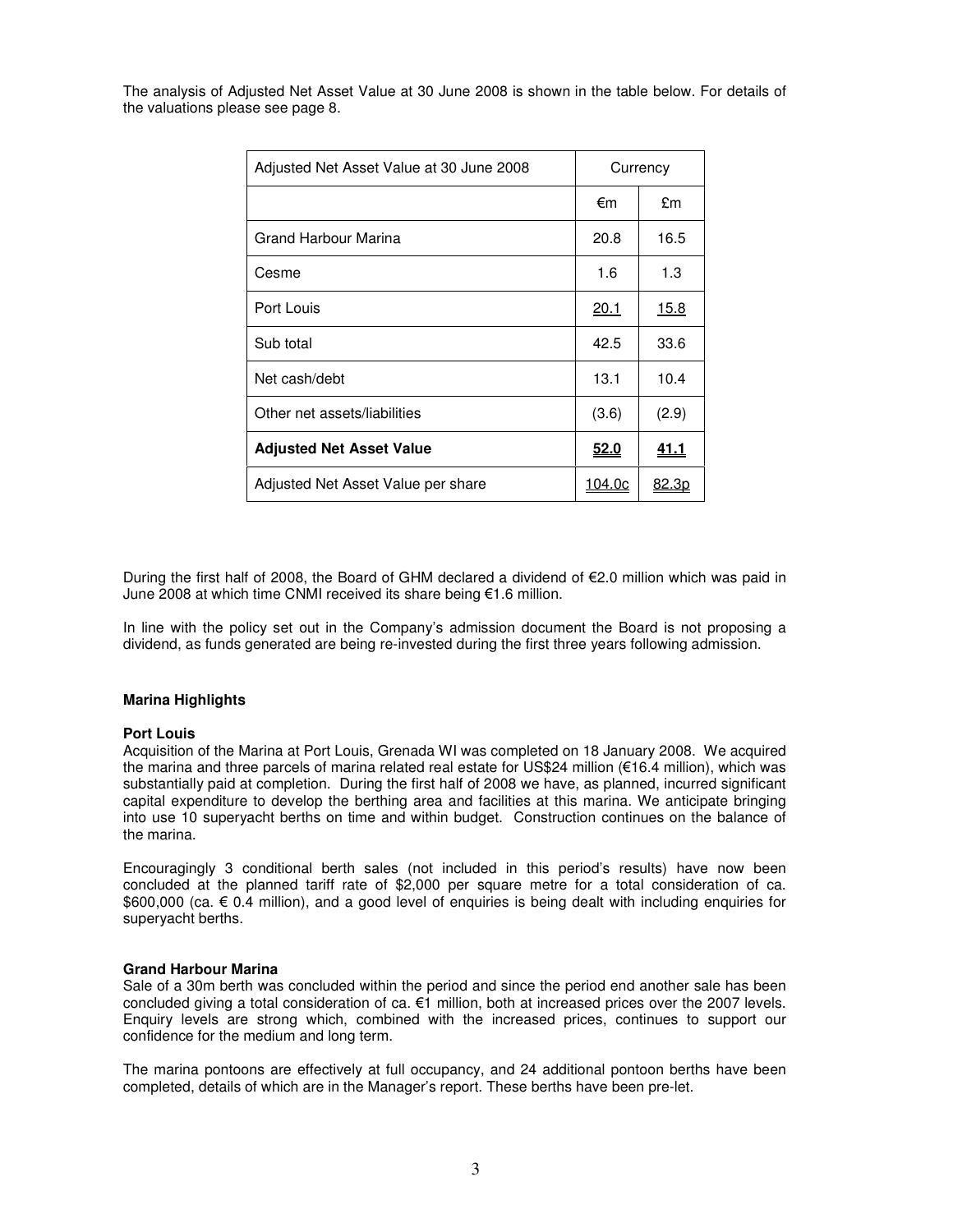| Adjusted Net Asset Value at 30 June 2008 | Currency    |              |
|------------------------------------------|-------------|--------------|
|                                          | €m          | £m           |
| Grand Harbour Marina                     | 20.8        | 16.5         |
| Cesme                                    | 1.6         | 1.3          |
| Port Louis                               | 20.1        | <u>15.8</u>  |
| Sub total                                | 42.5        | 33.6         |
| Net cash/debt                            | 13.1        | 10.4         |
| Other net assets/liabilities             | (3.6)       | (2.9)        |
| <b>Adjusted Net Asset Value</b>          | <u>52.0</u> | 41.1         |
| Adjusted Net Asset Value per share       | 104.0c      | <u>82.3p</u> |

The analysis of Adjusted Net Asset Value at 30 June 2008 is shown in the table below. For details of the valuations please see page 8.

During the first half of 2008, the Board of GHM declared a dividend of €2.0 million which was paid in June 2008 at which time CNMI received its share being €1.6 million.

In line with the policy set out in the Company's admission document the Board is not proposing a dividend, as funds generated are being re-invested during the first three years following admission.

### **Marina Highlights**

#### **Port Louis**

Acquisition of the Marina at Port Louis, Grenada WI was completed on 18 January 2008. We acquired the marina and three parcels of marina related real estate for US\$24 million (€16.4 million), which was substantially paid at completion. During the first half of 2008 we have, as planned, incurred significant capital expenditure to develop the berthing area and facilities at this marina. We anticipate bringing into use 10 superyacht berths on time and within budget. Construction continues on the balance of the marina.

Encouragingly 3 conditional berth sales (not included in this period's results) have now been concluded at the planned tariff rate of \$2,000 per square metre for a total consideration of ca. \$600,000 (ca. € 0.4 million), and a good level of enquiries is being dealt with including enquiries for superyacht berths.

#### **Grand Harbour Marina**

Sale of a 30m berth was concluded within the period and since the period end another sale has been concluded giving a total consideration of ca. €1 million, both at increased prices over the 2007 levels. Enquiry levels are strong which, combined with the increased prices, continues to support our confidence for the medium and long term.

The marina pontoons are effectively at full occupancy, and 24 additional pontoon berths have been completed, details of which are in the Manager's report. These berths have been pre-let.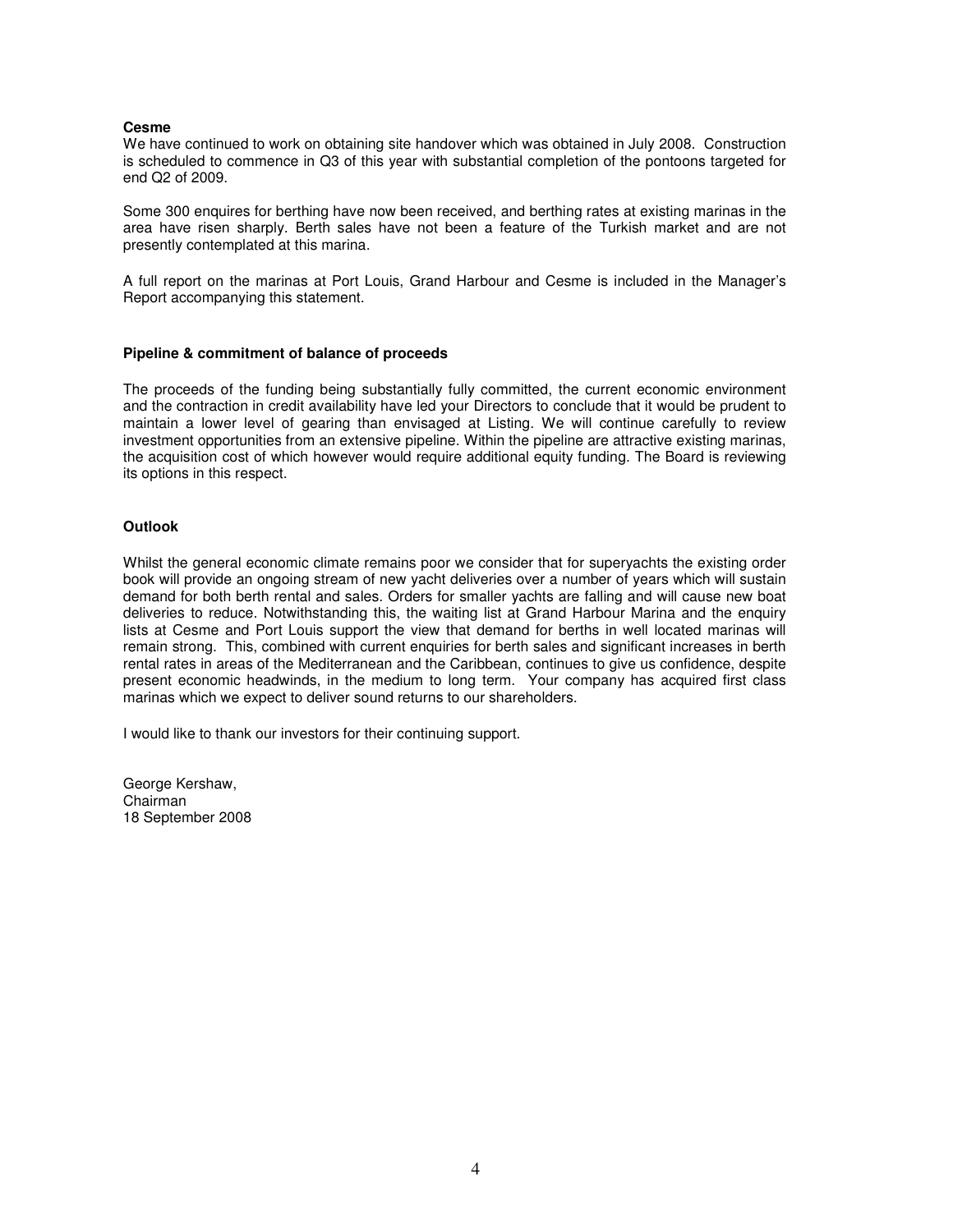### **Cesme**

We have continued to work on obtaining site handover which was obtained in July 2008. Construction is scheduled to commence in Q3 of this year with substantial completion of the pontoons targeted for end Q2 of 2009.

Some 300 enquires for berthing have now been received, and berthing rates at existing marinas in the area have risen sharply. Berth sales have not been a feature of the Turkish market and are not presently contemplated at this marina.

A full report on the marinas at Port Louis, Grand Harbour and Cesme is included in the Manager's Report accompanying this statement.

#### **Pipeline & commitment of balance of proceeds**

The proceeds of the funding being substantially fully committed, the current economic environment and the contraction in credit availability have led your Directors to conclude that it would be prudent to maintain a lower level of gearing than envisaged at Listing. We will continue carefully to review investment opportunities from an extensive pipeline. Within the pipeline are attractive existing marinas, the acquisition cost of which however would require additional equity funding. The Board is reviewing its options in this respect.

### **Outlook**

Whilst the general economic climate remains poor we consider that for superyachts the existing order book will provide an ongoing stream of new yacht deliveries over a number of years which will sustain demand for both berth rental and sales. Orders for smaller yachts are falling and will cause new boat deliveries to reduce. Notwithstanding this, the waiting list at Grand Harbour Marina and the enquiry lists at Cesme and Port Louis support the view that demand for berths in well located marinas will remain strong. This, combined with current enquiries for berth sales and significant increases in berth rental rates in areas of the Mediterranean and the Caribbean, continues to give us confidence, despite present economic headwinds, in the medium to long term. Your company has acquired first class marinas which we expect to deliver sound returns to our shareholders.

I would like to thank our investors for their continuing support.

George Kershaw, Chairman 18 September 2008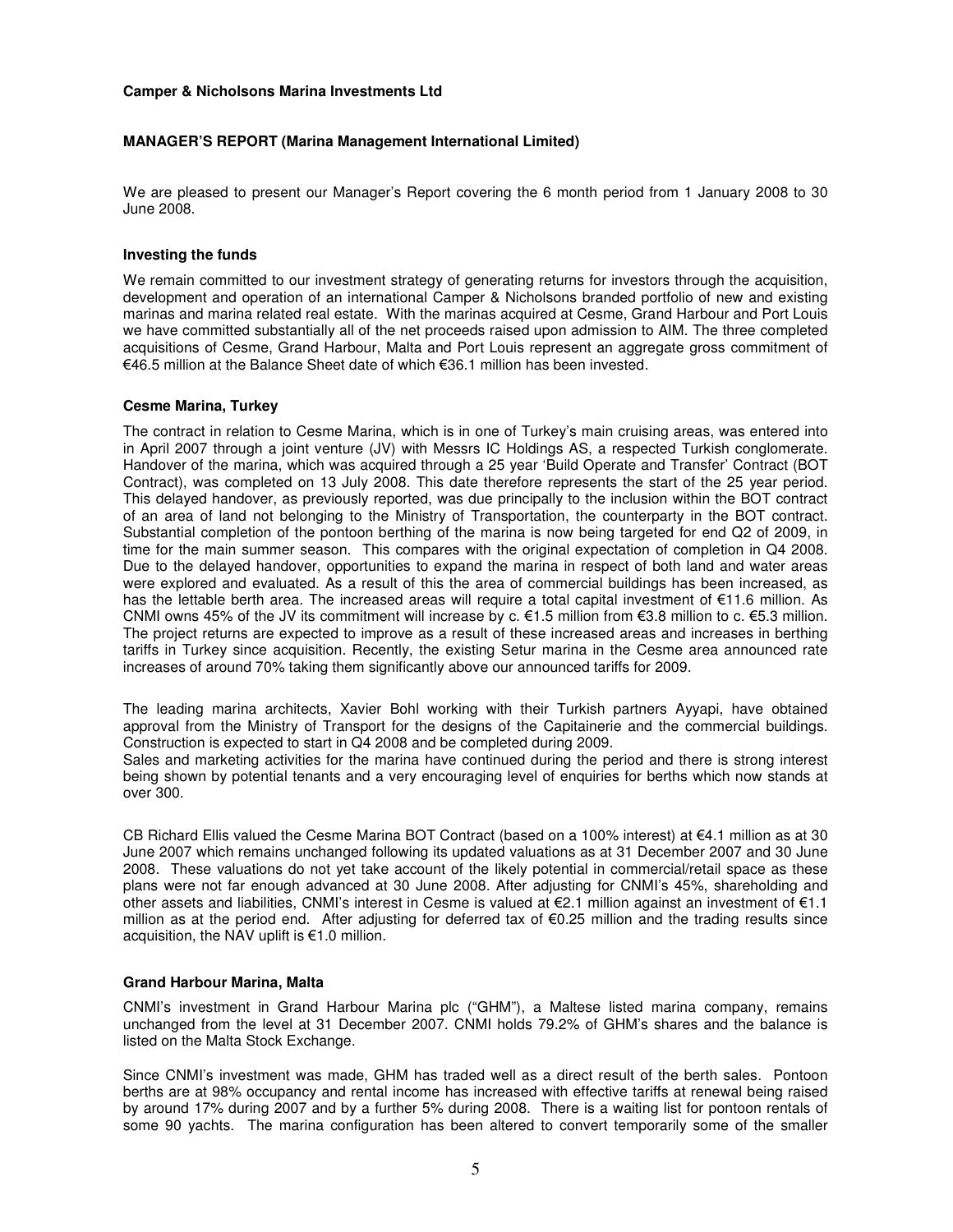### **Camper & Nicholsons Marina Investments Ltd**

## **MANAGER'S REPORT (Marina Management International Limited)**

We are pleased to present our Manager's Report covering the 6 month period from 1 January 2008 to 30 June 2008.

## **Investing the funds**

We remain committed to our investment strategy of generating returns for investors through the acquisition, development and operation of an international Camper & Nicholsons branded portfolio of new and existing marinas and marina related real estate. With the marinas acquired at Cesme, Grand Harbour and Port Louis we have committed substantially all of the net proceeds raised upon admission to AIM. The three completed acquisitions of Cesme, Grand Harbour, Malta and Port Louis represent an aggregate gross commitment of €46.5 million at the Balance Sheet date of which €36.1 million has been invested.

## **Cesme Marina, Turkey**

The contract in relation to Cesme Marina, which is in one of Turkey's main cruising areas, was entered into in April 2007 through a joint venture (JV) with Messrs IC Holdings AS, a respected Turkish conglomerate. Handover of the marina, which was acquired through a 25 year 'Build Operate and Transfer' Contract (BOT Contract), was completed on 13 July 2008. This date therefore represents the start of the 25 year period. This delayed handover, as previously reported, was due principally to the inclusion within the BOT contract of an area of land not belonging to the Ministry of Transportation, the counterparty in the BOT contract. Substantial completion of the pontoon berthing of the marina is now being targeted for end Q2 of 2009, in time for the main summer season. This compares with the original expectation of completion in Q4 2008. Due to the delayed handover, opportunities to expand the marina in respect of both land and water areas were explored and evaluated. As a result of this the area of commercial buildings has been increased, as has the lettable berth area. The increased areas will require a total capital investment of €11.6 million. As CNMI owns 45% of the JV its commitment will increase by c. €1.5 million from €3.8 million to c. €5.3 million. The project returns are expected to improve as a result of these increased areas and increases in berthing tariffs in Turkey since acquisition. Recently, the existing Setur marina in the Cesme area announced rate increases of around 70% taking them significantly above our announced tariffs for 2009.

The leading marina architects, Xavier Bohl working with their Turkish partners Ayyapi, have obtained approval from the Ministry of Transport for the designs of the Capitainerie and the commercial buildings. Construction is expected to start in Q4 2008 and be completed during 2009.

Sales and marketing activities for the marina have continued during the period and there is strong interest being shown by potential tenants and a very encouraging level of enquiries for berths which now stands at over 300.

CB Richard Ellis valued the Cesme Marina BOT Contract (based on a 100% interest) at €4.1 million as at 30 June 2007 which remains unchanged following its updated valuations as at 31 December 2007 and 30 June 2008. These valuations do not yet take account of the likely potential in commercial/retail space as these plans were not far enough advanced at 30 June 2008. After adjusting for CNMI's 45%, shareholding and other assets and liabilities, CNMI's interest in Cesme is valued at €2.1 million against an investment of €1.1 million as at the period end. After adjusting for deferred tax of €0.25 million and the trading results since acquisition, the NAV uplift is  $€1.0$  million.

### **Grand Harbour Marina, Malta**

CNMI's investment in Grand Harbour Marina plc ("GHM"), a Maltese listed marina company, remains unchanged from the level at 31 December 2007. CNMI holds 79.2% of GHM's shares and the balance is listed on the Malta Stock Exchange.

Since CNMI's investment was made, GHM has traded well as a direct result of the berth sales. Pontoon berths are at 98% occupancy and rental income has increased with effective tariffs at renewal being raised by around 17% during 2007 and by a further 5% during 2008. There is a waiting list for pontoon rentals of some 90 yachts. The marina configuration has been altered to convert temporarily some of the smaller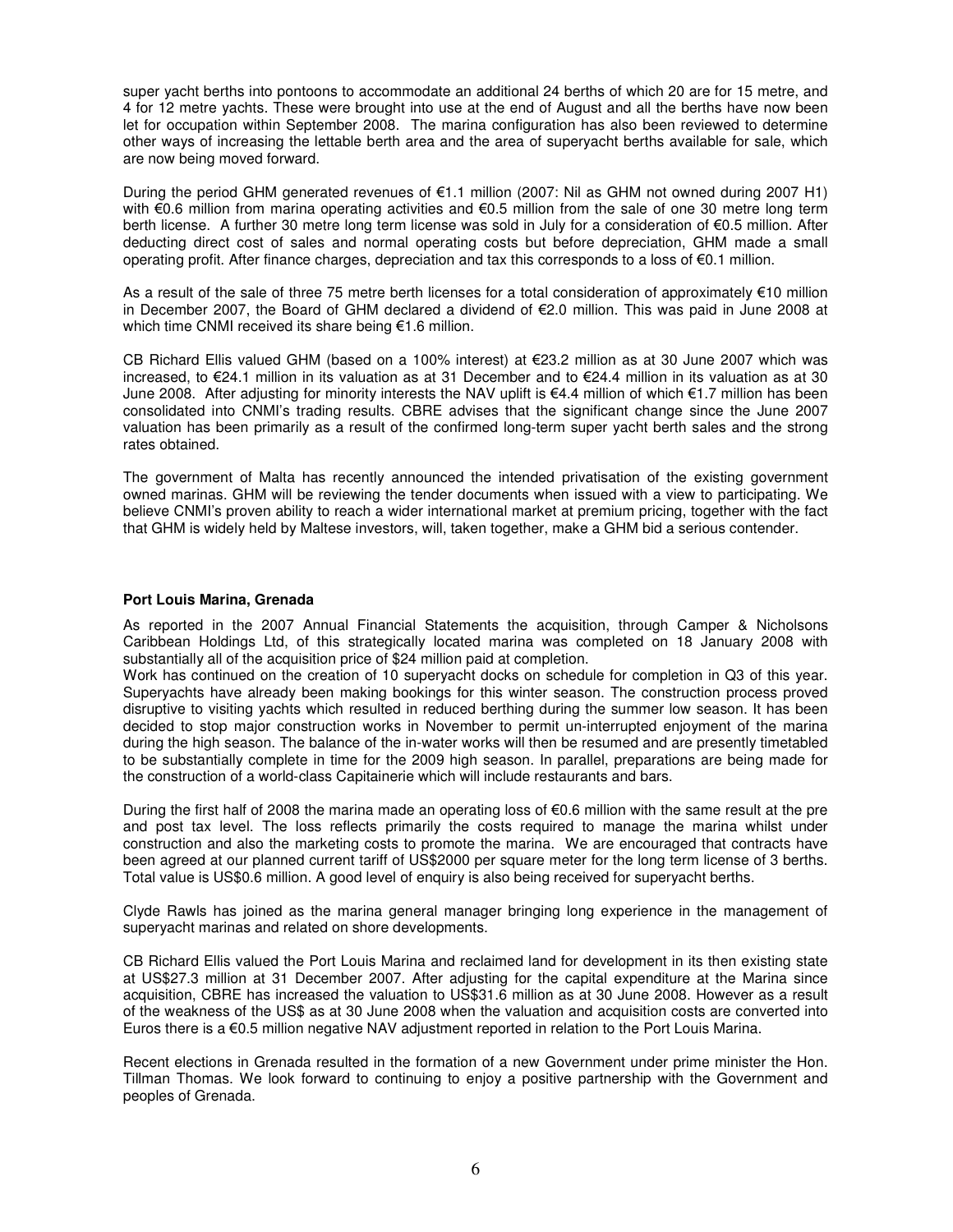super yacht berths into pontoons to accommodate an additional 24 berths of which 20 are for 15 metre, and 4 for 12 metre yachts. These were brought into use at the end of August and all the berths have now been let for occupation within September 2008. The marina configuration has also been reviewed to determine other ways of increasing the lettable berth area and the area of superyacht berths available for sale, which are now being moved forward.

During the period GHM generated revenues of €1.1 million (2007: Nil as GHM not owned during 2007 H1) with €0.6 million from marina operating activities and €0.5 million from the sale of one 30 metre long term berth license. A further 30 metre long term license was sold in July for a consideration of €0.5 million. After deducting direct cost of sales and normal operating costs but before depreciation, GHM made a small operating profit. After finance charges, depreciation and tax this corresponds to a loss of €0.1 million.

As a result of the sale of three 75 metre berth licenses for a total consideration of approximately €10 million in December 2007, the Board of GHM declared a dividend of €2.0 million. This was paid in June 2008 at which time CNMI received its share being €1.6 million.

CB Richard Ellis valued GHM (based on a 100% interest) at €23.2 million as at 30 June 2007 which was increased, to €24.1 million in its valuation as at 31 December and to €24.4 million in its valuation as at 30 June 2008. After adjusting for minority interests the NAV uplift is €4.4 million of which €1.7 million has been consolidated into CNMI's trading results. CBRE advises that the significant change since the June 2007 valuation has been primarily as a result of the confirmed long-term super yacht berth sales and the strong rates obtained.

The government of Malta has recently announced the intended privatisation of the existing government owned marinas. GHM will be reviewing the tender documents when issued with a view to participating. We believe CNMI's proven ability to reach a wider international market at premium pricing, together with the fact that GHM is widely held by Maltese investors, will, taken together, make a GHM bid a serious contender.

### **Port Louis Marina, Grenada**

As reported in the 2007 Annual Financial Statements the acquisition, through Camper & Nicholsons Caribbean Holdings Ltd, of this strategically located marina was completed on 18 January 2008 with substantially all of the acquisition price of \$24 million paid at completion.

Work has continued on the creation of 10 superyacht docks on schedule for completion in Q3 of this year. Superyachts have already been making bookings for this winter season. The construction process proved disruptive to visiting yachts which resulted in reduced berthing during the summer low season. It has been decided to stop major construction works in November to permit un-interrupted enjoyment of the marina during the high season. The balance of the in-water works will then be resumed and are presently timetabled to be substantially complete in time for the 2009 high season. In parallel, preparations are being made for the construction of a world-class Capitainerie which will include restaurants and bars.

During the first half of 2008 the marina made an operating loss of €0.6 million with the same result at the pre and post tax level. The loss reflects primarily the costs required to manage the marina whilst under construction and also the marketing costs to promote the marina. We are encouraged that contracts have been agreed at our planned current tariff of US\$2000 per square meter for the long term license of 3 berths. Total value is US\$0.6 million. A good level of enquiry is also being received for superyacht berths.

Clyde Rawls has joined as the marina general manager bringing long experience in the management of superyacht marinas and related on shore developments.

CB Richard Ellis valued the Port Louis Marina and reclaimed land for development in its then existing state at US\$27.3 million at 31 December 2007. After adjusting for the capital expenditure at the Marina since acquisition, CBRE has increased the valuation to US\$31.6 million as at 30 June 2008. However as a result of the weakness of the US\$ as at 30 June 2008 when the valuation and acquisition costs are converted into Euros there is a €0.5 million negative NAV adjustment reported in relation to the Port Louis Marina.

Recent elections in Grenada resulted in the formation of a new Government under prime minister the Hon. Tillman Thomas. We look forward to continuing to enjoy a positive partnership with the Government and peoples of Grenada.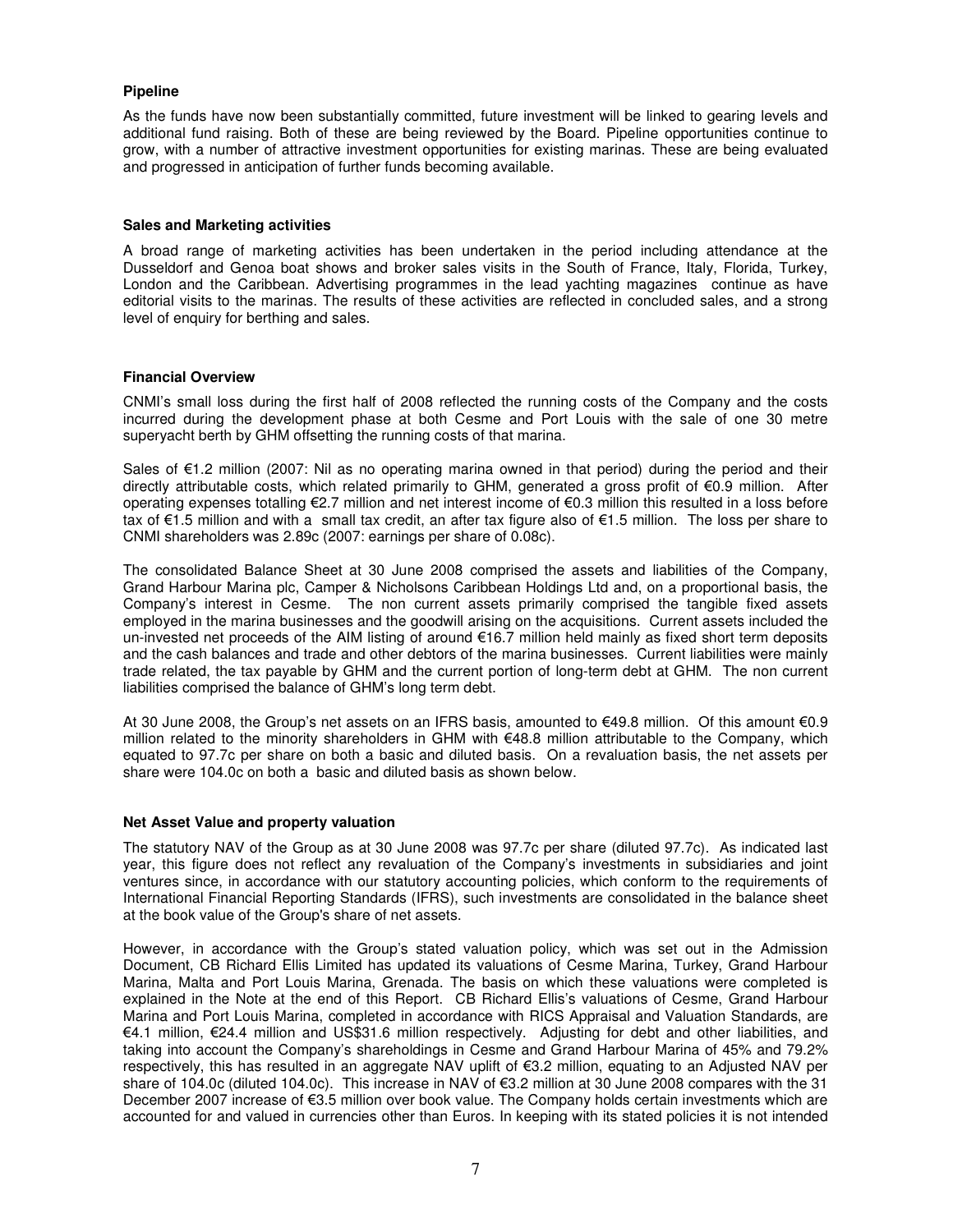## **Pipeline**

As the funds have now been substantially committed, future investment will be linked to gearing levels and additional fund raising. Both of these are being reviewed by the Board. Pipeline opportunities continue to grow, with a number of attractive investment opportunities for existing marinas. These are being evaluated and progressed in anticipation of further funds becoming available.

### **Sales and Marketing activities**

A broad range of marketing activities has been undertaken in the period including attendance at the Dusseldorf and Genoa boat shows and broker sales visits in the South of France, Italy, Florida, Turkey, London and the Caribbean. Advertising programmes in the lead yachting magazines continue as have editorial visits to the marinas. The results of these activities are reflected in concluded sales, and a strong level of enquiry for berthing and sales.

### **Financial Overview**

CNMI's small loss during the first half of 2008 reflected the running costs of the Company and the costs incurred during the development phase at both Cesme and Port Louis with the sale of one 30 metre superyacht berth by GHM offsetting the running costs of that marina.

Sales of €1.2 million (2007: Nil as no operating marina owned in that period) during the period and their directly attributable costs, which related primarily to GHM, generated a gross profit of €0.9 million. After operating expenses totalling €2.7 million and net interest income of €0.3 million this resulted in a loss before tax of €1.5 million and with a small tax credit, an after tax figure also of €1.5 million. The loss per share to CNMI shareholders was 2.89c (2007: earnings per share of 0.08c).

The consolidated Balance Sheet at 30 June 2008 comprised the assets and liabilities of the Company, Grand Harbour Marina plc, Camper & Nicholsons Caribbean Holdings Ltd and, on a proportional basis, the Company's interest in Cesme. The non current assets primarily comprised the tangible fixed assets employed in the marina businesses and the goodwill arising on the acquisitions. Current assets included the un-invested net proceeds of the AIM listing of around €16.7 million held mainly as fixed short term deposits and the cash balances and trade and other debtors of the marina businesses. Current liabilities were mainly trade related, the tax payable by GHM and the current portion of long-term debt at GHM. The non current liabilities comprised the balance of GHM's long term debt.

At 30 June 2008, the Group's net assets on an IFRS basis, amounted to €49.8 million. Of this amount €0.9 million related to the minority shareholders in GHM with €48.8 million attributable to the Company, which equated to 97.7c per share on both a basic and diluted basis. On a revaluation basis, the net assets per share were 104.0c on both a basic and diluted basis as shown below.

## **Net Asset Value and property valuation**

The statutory NAV of the Group as at 30 June 2008 was 97.7c per share (diluted 97.7c). As indicated last year, this figure does not reflect any revaluation of the Company's investments in subsidiaries and joint ventures since, in accordance with our statutory accounting policies, which conform to the requirements of International Financial Reporting Standards (IFRS), such investments are consolidated in the balance sheet at the book value of the Group's share of net assets.

However, in accordance with the Group's stated valuation policy, which was set out in the Admission Document, CB Richard Ellis Limited has updated its valuations of Cesme Marina, Turkey, Grand Harbour Marina, Malta and Port Louis Marina, Grenada. The basis on which these valuations were completed is explained in the Note at the end of this Report. CB Richard Ellis's valuations of Cesme, Grand Harbour Marina and Port Louis Marina, completed in accordance with RICS Appraisal and Valuation Standards, are €4.1 million, €24.4 million and US\$31.6 million respectively. Adjusting for debt and other liabilities, and taking into account the Company's shareholdings in Cesme and Grand Harbour Marina of 45% and 79.2% respectively, this has resulted in an aggregate NAV uplift of €3.2 million, equating to an Adjusted NAV per share of 104.0c (diluted 104.0c). This increase in NAV of €3.2 million at 30 June 2008 compares with the 31 December 2007 increase of €3.5 million over book value. The Company holds certain investments which are accounted for and valued in currencies other than Euros. In keeping with its stated policies it is not intended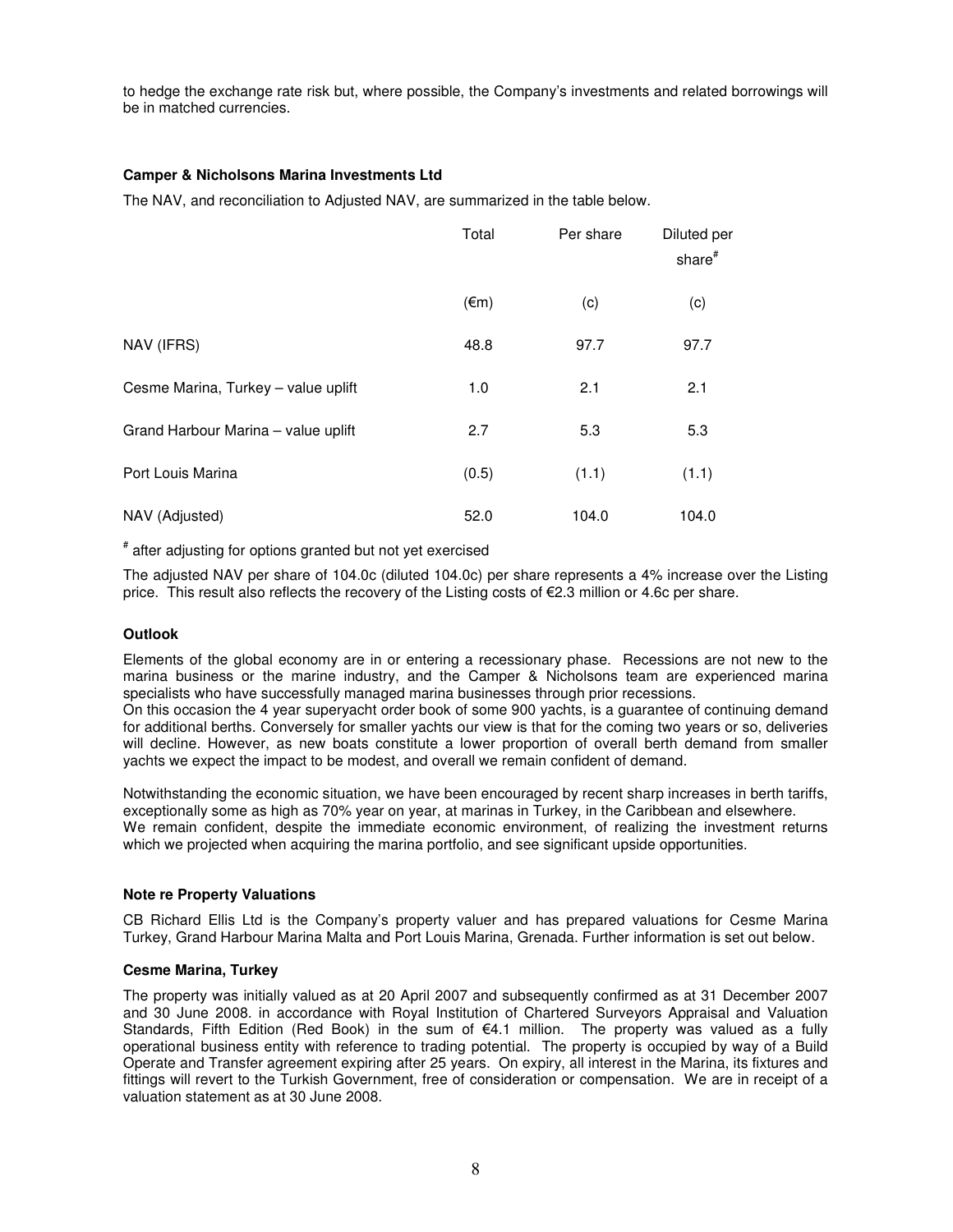to hedge the exchange rate risk but, where possible, the Company's investments and related borrowings will be in matched currencies.

# **Camper & Nicholsons Marina Investments Ltd**

The NAV, and reconciliation to Adjusted NAV, are summarized in the table below.

|                                     | Total          | Per share | Diluted per<br>share <sup>#</sup> |
|-------------------------------------|----------------|-----------|-----------------------------------|
|                                     | $(\epsilon m)$ | (c)       | (c)                               |
| NAV (IFRS)                          | 48.8           | 97.7      | 97.7                              |
| Cesme Marina, Turkey - value uplift | 1.0            | 2.1       | 2.1                               |
| Grand Harbour Marina - value uplift | 2.7            | 5.3       | 5.3                               |
| Port Louis Marina                   | (0.5)          | (1.1)     | (1.1)                             |
| NAV (Adjusted)                      | 52.0           | 104.0     | 104.0                             |

# after adjusting for options granted but not yet exercised

The adjusted NAV per share of 104.0c (diluted 104.0c) per share represents a 4% increase over the Listing price. This result also reflects the recovery of the Listing costs of €2.3 million or 4.6c per share.

# **Outlook**

Elements of the global economy are in or entering a recessionary phase. Recessions are not new to the marina business or the marine industry, and the Camper & Nicholsons team are experienced marina specialists who have successfully managed marina businesses through prior recessions.

On this occasion the 4 year superyacht order book of some 900 yachts, is a guarantee of continuing demand for additional berths. Conversely for smaller yachts our view is that for the coming two years or so, deliveries will decline. However, as new boats constitute a lower proportion of overall berth demand from smaller yachts we expect the impact to be modest, and overall we remain confident of demand.

Notwithstanding the economic situation, we have been encouraged by recent sharp increases in berth tariffs, exceptionally some as high as 70% year on year, at marinas in Turkey, in the Caribbean and elsewhere. We remain confident, despite the immediate economic environment, of realizing the investment returns which we projected when acquiring the marina portfolio, and see significant upside opportunities.

# **Note re Property Valuations**

CB Richard Ellis Ltd is the Company's property valuer and has prepared valuations for Cesme Marina Turkey, Grand Harbour Marina Malta and Port Louis Marina, Grenada. Further information is set out below.

### **Cesme Marina, Turkey**

The property was initially valued as at 20 April 2007 and subsequently confirmed as at 31 December 2007 and 30 June 2008. in accordance with Royal Institution of Chartered Surveyors Appraisal and Valuation Standards, Fifth Edition (Red Book) in the sum of €4.1 million. The property was valued as a fully operational business entity with reference to trading potential. The property is occupied by way of a Build Operate and Transfer agreement expiring after 25 years. On expiry, all interest in the Marina, its fixtures and fittings will revert to the Turkish Government, free of consideration or compensation. We are in receipt of a valuation statement as at 30 June 2008.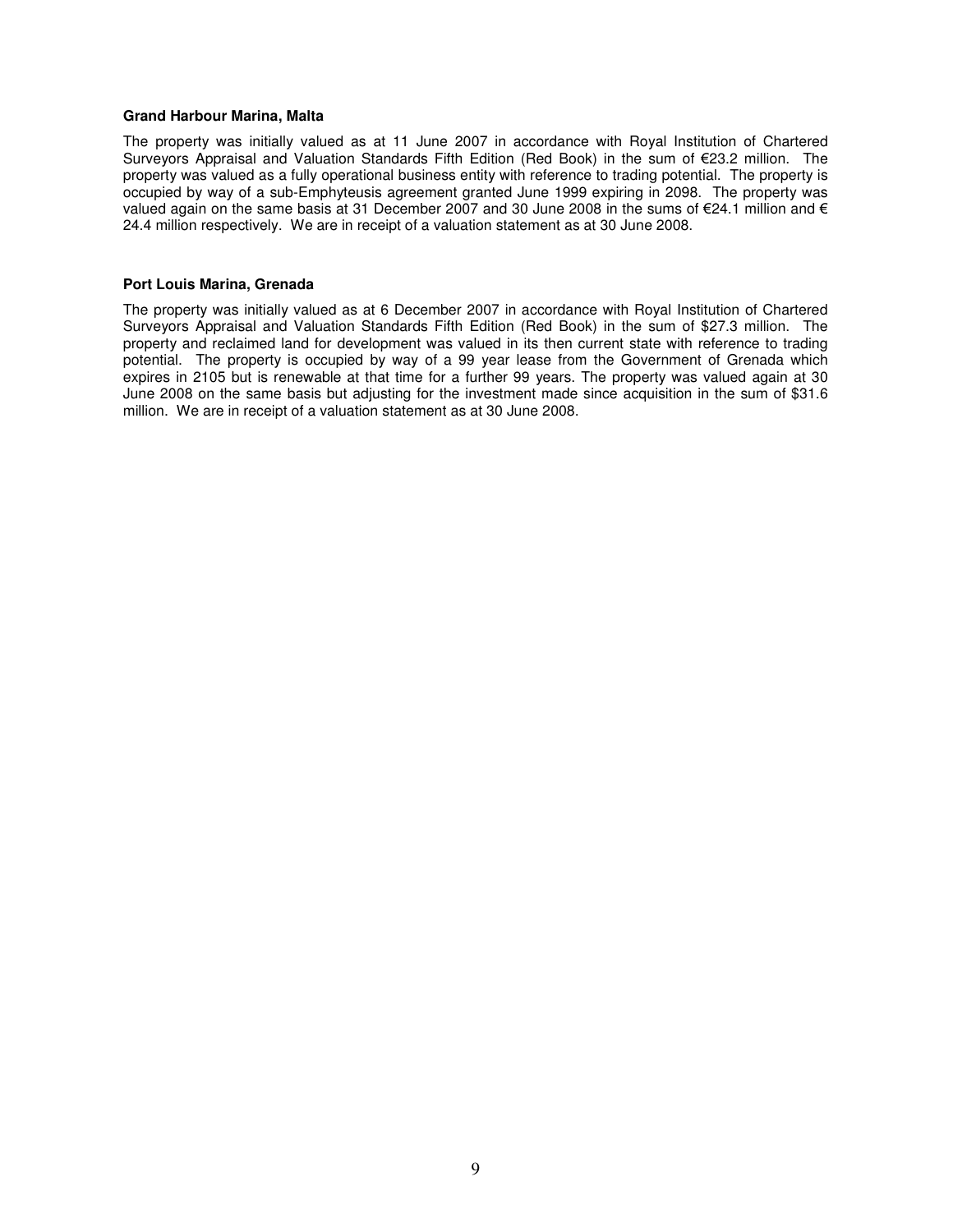### **Grand Harbour Marina, Malta**

The property was initially valued as at 11 June 2007 in accordance with Royal Institution of Chartered Surveyors Appraisal and Valuation Standards Fifth Edition (Red Book) in the sum of €23.2 million. The property was valued as a fully operational business entity with reference to trading potential. The property is occupied by way of a sub-Emphyteusis agreement granted June 1999 expiring in 2098. The property was valued again on the same basis at 31 December 2007 and 30 June 2008 in the sums of €24.1 million and € 24.4 million respectively. We are in receipt of a valuation statement as at 30 June 2008.

### **Port Louis Marina, Grenada**

The property was initially valued as at 6 December 2007 in accordance with Royal Institution of Chartered Surveyors Appraisal and Valuation Standards Fifth Edition (Red Book) in the sum of \$27.3 million. The property and reclaimed land for development was valued in its then current state with reference to trading potential. The property is occupied by way of a 99 year lease from the Government of Grenada which expires in 2105 but is renewable at that time for a further 99 years. The property was valued again at 30 June 2008 on the same basis but adjusting for the investment made since acquisition in the sum of \$31.6 million. We are in receipt of a valuation statement as at 30 June 2008.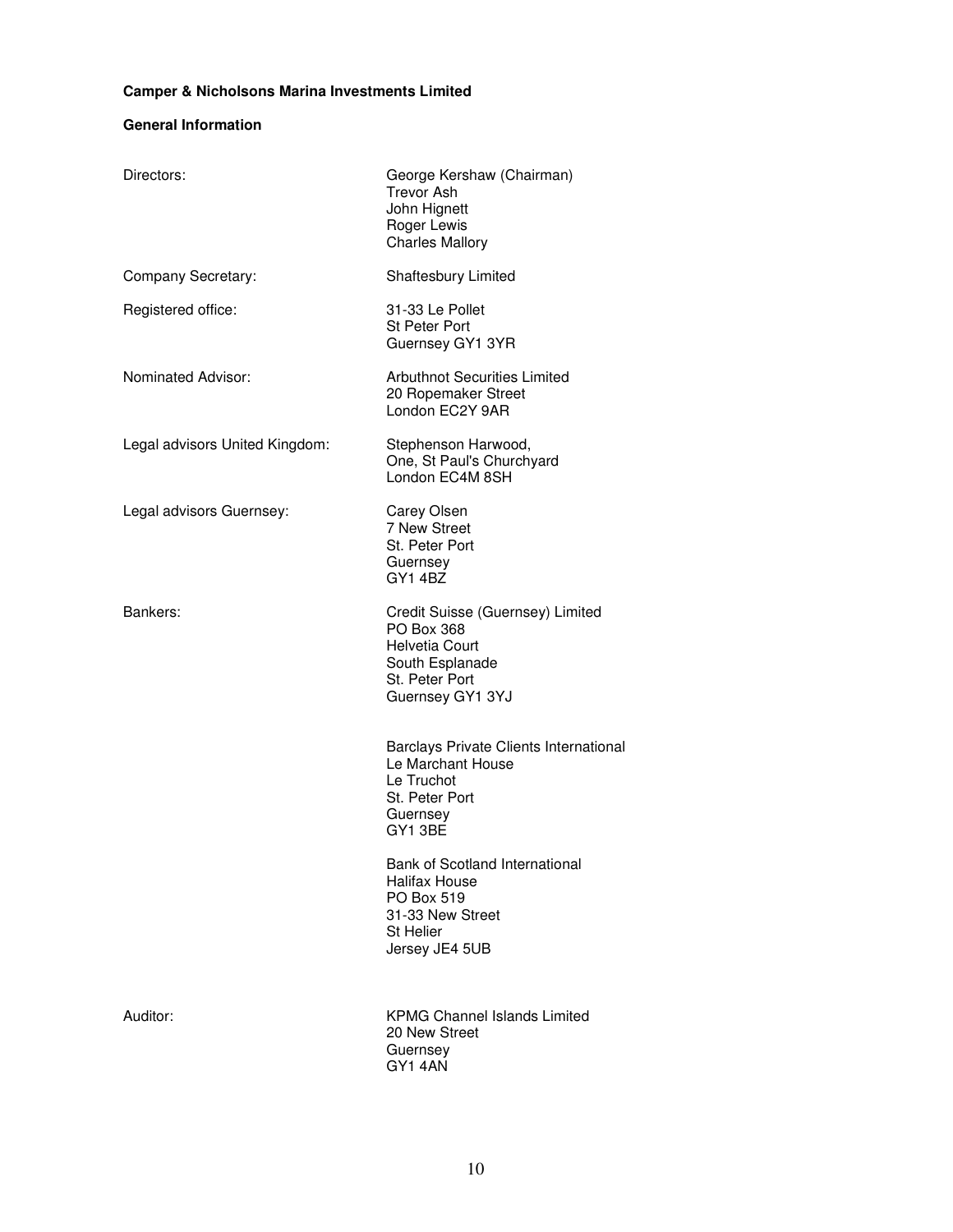# **Camper & Nicholsons Marina Investments Limited**

## **General Information**

| Directors:                     | George Kershaw (Chairman)<br><b>Trevor Ash</b><br>John Hignett<br>Roger Lewis<br><b>Charles Mallory</b>                                 |
|--------------------------------|-----------------------------------------------------------------------------------------------------------------------------------------|
| Company Secretary:             | Shaftesbury Limited                                                                                                                     |
| Registered office:             | 31-33 Le Pollet<br>St Peter Port<br>Guernsey GY1 3YR                                                                                    |
| Nominated Advisor:             | <b>Arbuthnot Securities Limited</b><br>20 Ropemaker Street<br>London EC2Y 9AR                                                           |
| Legal advisors United Kingdom: | Stephenson Harwood,<br>One, St Paul's Churchyard<br>London EC4M 8SH                                                                     |
| Legal advisors Guernsey:       | Carey Olsen<br>7 New Street<br>St. Peter Port<br>Guernsey<br><b>GY1 4BZ</b>                                                             |
| Bankers:                       | Credit Suisse (Guernsey) Limited<br><b>PO Box 368</b><br><b>Helvetia Court</b><br>South Esplanade<br>St. Peter Port<br>Guernsey GY1 3YJ |
|                                | Barclays Private Clients International<br>Le Marchant House<br>Le Truchot<br>St. Peter Port<br>Guernsey<br><b>GY1 3BE</b>               |
|                                | Bank of Scotland International<br>Halifax House<br>PO Box 519<br>31-33 New Street<br>St Helier<br>Jersey JE4 5UB                        |
| Auditor:                       | <b>KPMG Channel Islands Limited</b><br>20 New Street<br>Guernsey<br>GY1 4AN                                                             |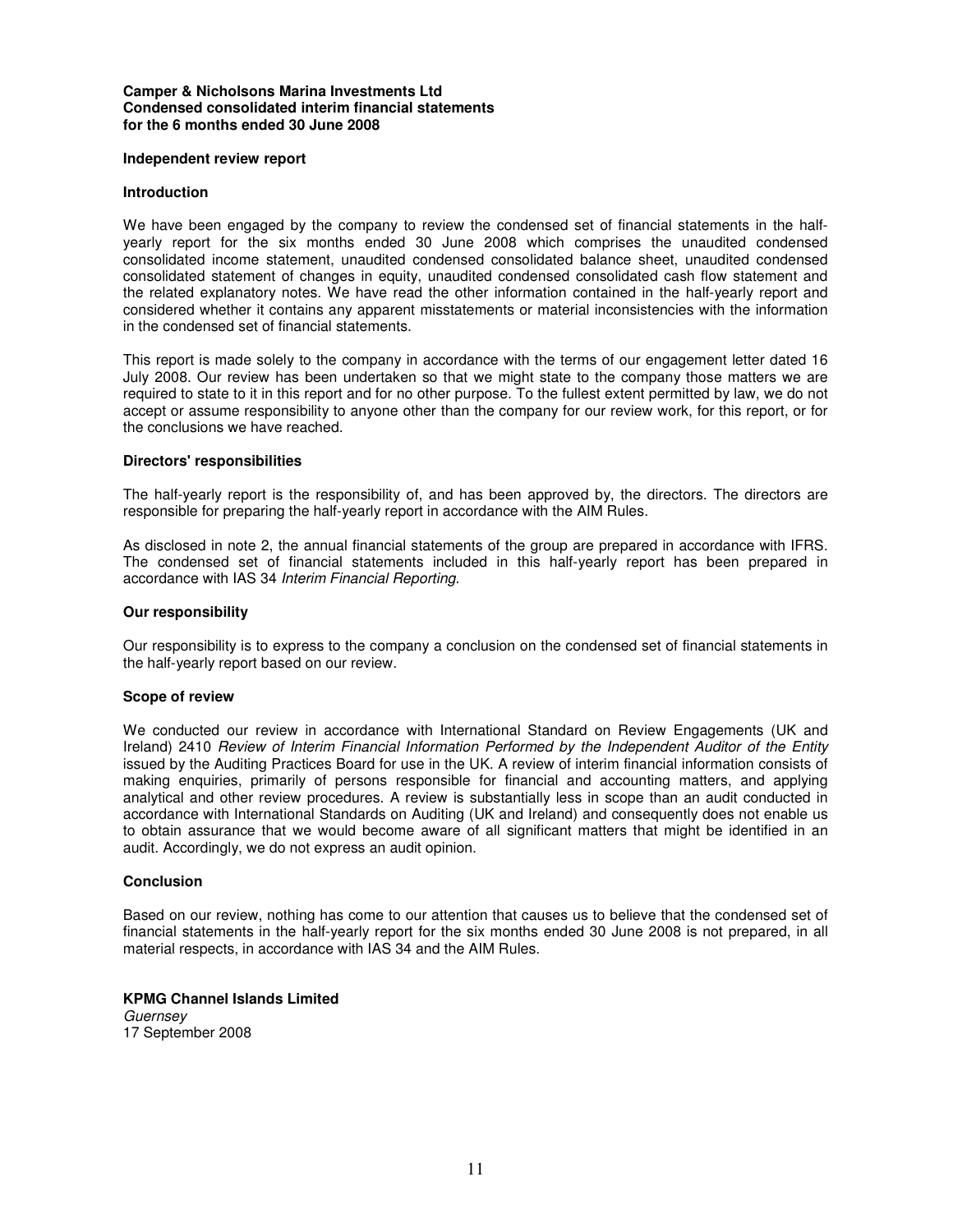### **Independent review report**

#### **Introduction**

We have been engaged by the company to review the condensed set of financial statements in the halfyearly report for the six months ended 30 June 2008 which comprises the unaudited condensed consolidated income statement, unaudited condensed consolidated balance sheet, unaudited condensed consolidated statement of changes in equity, unaudited condensed consolidated cash flow statement and the related explanatory notes. We have read the other information contained in the half-yearly report and considered whether it contains any apparent misstatements or material inconsistencies with the information in the condensed set of financial statements.

This report is made solely to the company in accordance with the terms of our engagement letter dated 16 July 2008. Our review has been undertaken so that we might state to the company those matters we are required to state to it in this report and for no other purpose. To the fullest extent permitted by law, we do not accept or assume responsibility to anyone other than the company for our review work, for this report, or for the conclusions we have reached.

### **Directors' responsibilities**

The half-yearly report is the responsibility of, and has been approved by, the directors. The directors are responsible for preparing the half-yearly report in accordance with the AIM Rules.

As disclosed in note 2, the annual financial statements of the group are prepared in accordance with IFRS. The condensed set of financial statements included in this half-yearly report has been prepared in accordance with IAS 34 Interim Financial Reporting.

#### **Our responsibility**

Our responsibility is to express to the company a conclusion on the condensed set of financial statements in the half-yearly report based on our review.

#### **Scope of review**

We conducted our review in accordance with International Standard on Review Engagements (UK and Ireland) 2410 Review of Interim Financial Information Performed by the Independent Auditor of the Entity issued by the Auditing Practices Board for use in the UK. A review of interim financial information consists of making enquiries, primarily of persons responsible for financial and accounting matters, and applying analytical and other review procedures. A review is substantially less in scope than an audit conducted in accordance with International Standards on Auditing (UK and Ireland) and consequently does not enable us to obtain assurance that we would become aware of all significant matters that might be identified in an audit. Accordingly, we do not express an audit opinion.

#### **Conclusion**

Based on our review, nothing has come to our attention that causes us to believe that the condensed set of financial statements in the half-yearly report for the six months ended 30 June 2008 is not prepared, in all material respects, in accordance with IAS 34 and the AIM Rules.

### **KPMG Channel Islands Limited Guernsey** 17 September 2008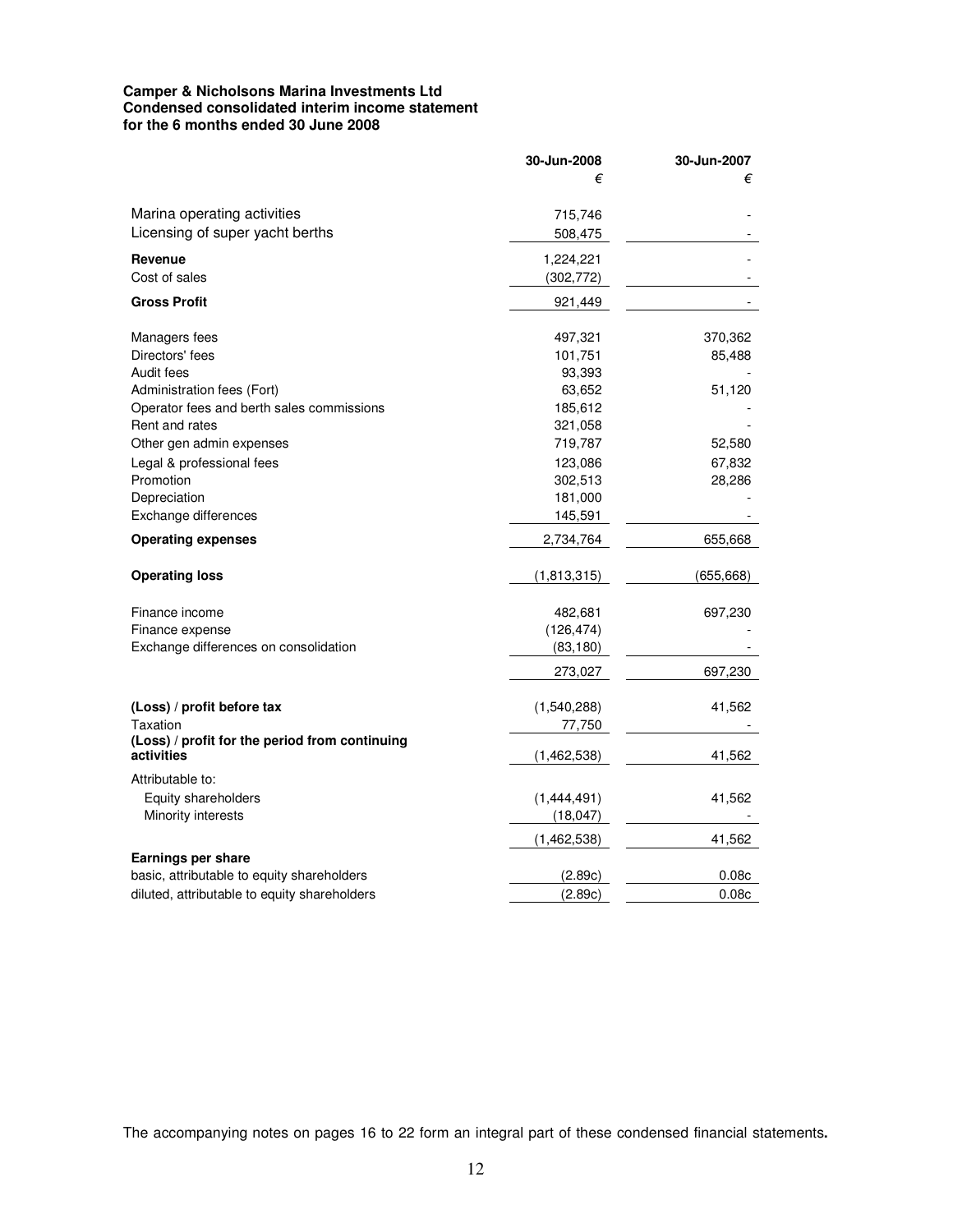|                                                              | 30-Jun-2008 | 30-Jun-2007 |
|--------------------------------------------------------------|-------------|-------------|
|                                                              | €           | €           |
| Marina operating activities                                  | 715,746     |             |
| Licensing of super yacht berths                              | 508,475     |             |
| Revenue                                                      | 1,224,221   |             |
| Cost of sales                                                | (302,772)   |             |
| <b>Gross Profit</b>                                          | 921,449     |             |
| Managers fees                                                | 497,321     | 370,362     |
| Directors' fees                                              | 101,751     | 85,488      |
| Audit fees                                                   | 93,393      |             |
| Administration fees (Fort)                                   | 63,652      | 51,120      |
| Operator fees and berth sales commissions                    | 185,612     |             |
| Rent and rates                                               | 321,058     |             |
| Other gen admin expenses                                     | 719,787     | 52,580      |
| Legal & professional fees                                    | 123,086     | 67,832      |
| Promotion                                                    | 302,513     | 28,286      |
| Depreciation                                                 | 181,000     |             |
| Exchange differences                                         | 145,591     |             |
| <b>Operating expenses</b>                                    | 2,734,764   | 655,668     |
| <b>Operating loss</b>                                        | (1,813,315) | (655,668)   |
| Finance income                                               | 482,681     | 697,230     |
| Finance expense                                              | (126, 474)  |             |
| Exchange differences on consolidation                        | (83, 180)   |             |
|                                                              | 273,027     | 697,230     |
| (Loss) / profit before tax                                   | (1,540,288) | 41,562      |
| Taxation                                                     | 77,750      |             |
| (Loss) / profit for the period from continuing<br>activities | (1,462,538) | 41,562      |
| Attributable to:                                             |             |             |
| Equity shareholders                                          | (1,444,491) | 41,562      |
| Minority interests                                           | (18, 047)   |             |
|                                                              |             |             |
|                                                              | (1,462,538) | 41,562      |
| Earnings per share                                           |             |             |
| basic, attributable to equity shareholders                   | (2.89c)     | 0.08c       |
| diluted, attributable to equity shareholders                 | (2.89c)     | 0.08c       |

The accompanying notes on pages 16 to 22 form an integral part of these condensed financial statements**.**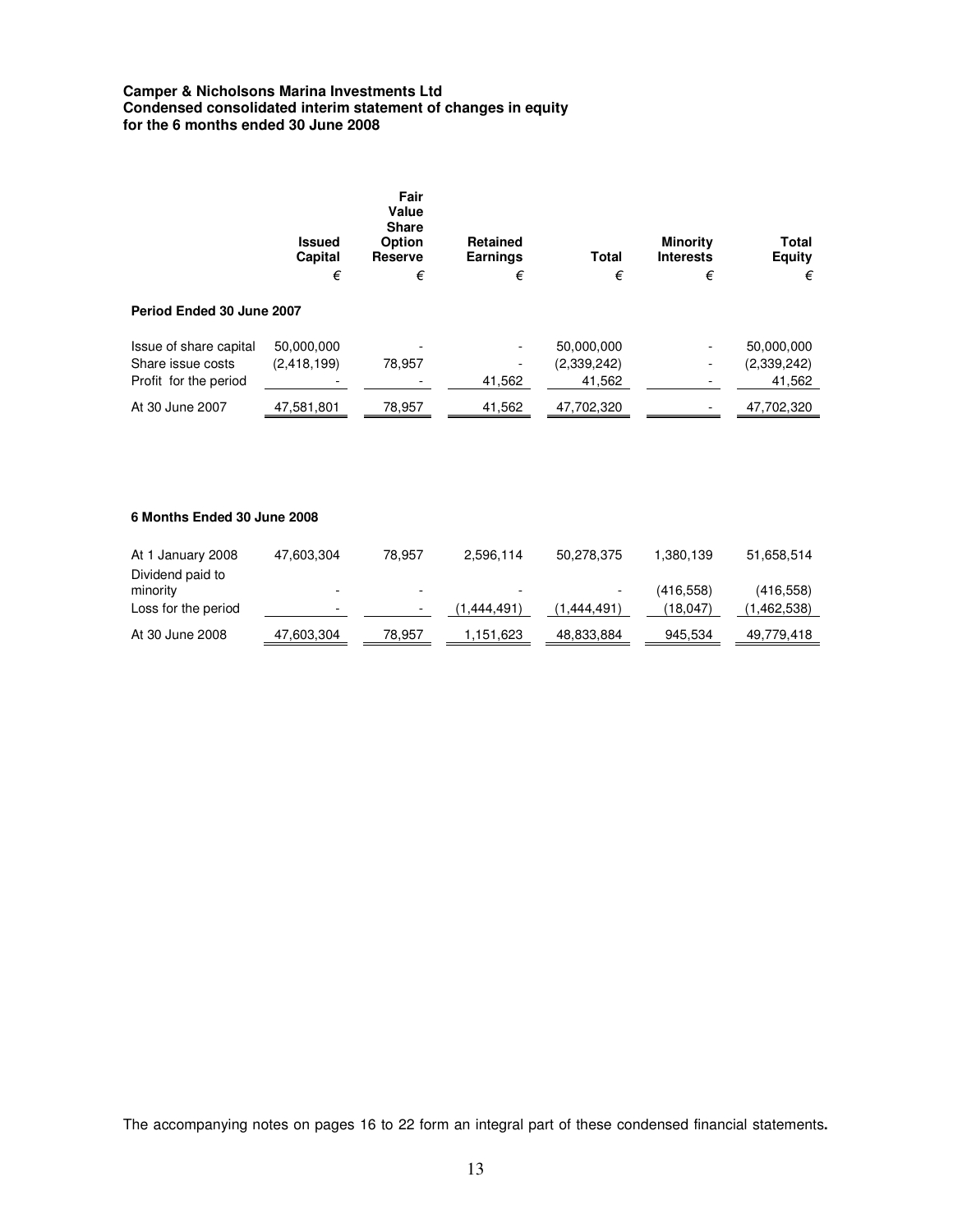## **Camper & Nicholsons Marina Investments Ltd Condensed consolidated interim statement of changes in equity for the 6 months ended 30 June 2008**

|                                                                      | <b>Issued</b><br>Capital<br>€ | Fair<br>Value<br><b>Share</b><br>Option<br>Reserve<br>€ | <b>Retained</b><br><b>Earnings</b><br>€ | Total<br>€                          | <b>Minority</b><br><b>Interests</b><br>€ | Total<br><b>Equity</b><br>€         |
|----------------------------------------------------------------------|-------------------------------|---------------------------------------------------------|-----------------------------------------|-------------------------------------|------------------------------------------|-------------------------------------|
| Period Ended 30 June 2007                                            |                               |                                                         |                                         |                                     |                                          |                                     |
| Issue of share capital<br>Share issue costs<br>Profit for the period | 50,000,000<br>(2,418,199)     | 78,957                                                  | -<br>41,562                             | 50,000,000<br>(2,339,242)<br>41.562 |                                          | 50,000,000<br>(2,339,242)<br>41,562 |
| At 30 June 2007                                                      | 47,581,801                    | 78,957                                                  | 41,562                                  | 47,702,320                          |                                          | 47,702,320                          |

## **6 Months Ended 30 June 2008**

| At 1 January 2008            | 47,603,304 | 78.957                   | 2,596,114                | 50.278.375  | 1,380,139 | 51,658,514 |
|------------------------------|------------|--------------------------|--------------------------|-------------|-----------|------------|
| Dividend paid to<br>minority | -          | $\overline{\phantom{0}}$ | $\overline{\phantom{0}}$ |             | (416.558) | (416, 558) |
| Loss for the period          | -          |                          | (1.444.491)              | (1.444.491) | (18.047)  | .462.538)  |
| At 30 June 2008              | 47,603,304 | 78.957                   | 1.151.623                | 48,833,884  | 945,534   | 49,779,418 |

The accompanying notes on pages 16 to 22 form an integral part of these condensed financial statements**.**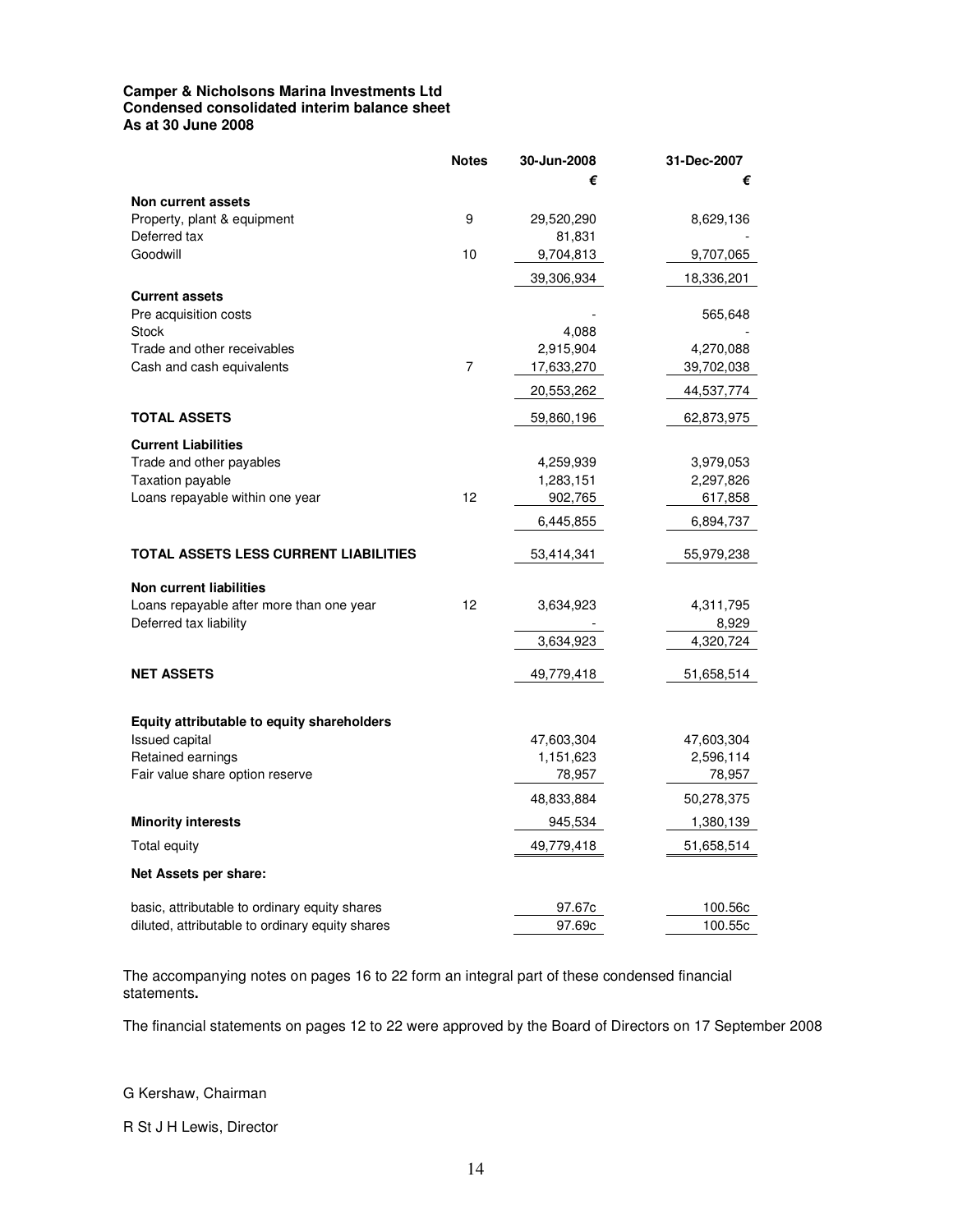## **Camper & Nicholsons Marina Investments Ltd Condensed consolidated interim balance sheet As at 30 June 2008**

|                                                                     | <b>Notes</b> | 30-Jun-2008             | 31-Dec-2007             |
|---------------------------------------------------------------------|--------------|-------------------------|-------------------------|
|                                                                     |              | €                       | €                       |
| <b>Non current assets</b>                                           |              |                         |                         |
| Property, plant & equipment                                         | 9            | 29,520,290              | 8,629,136               |
| Deferred tax                                                        |              | 81,831                  |                         |
| Goodwill                                                            | 10           | 9,704,813               | 9,707,065               |
|                                                                     |              | 39,306,934              | 18,336,201              |
| <b>Current assets</b>                                               |              |                         |                         |
| Pre acquisition costs                                               |              |                         | 565,648                 |
| <b>Stock</b><br>Trade and other receivables                         |              | 4,088<br>2,915,904      | 4,270,088               |
| Cash and cash equivalents                                           | 7            | 17,633,270              | 39,702,038              |
|                                                                     |              | 20,553,262              | 44,537,774              |
|                                                                     |              |                         |                         |
| <b>TOTAL ASSETS</b>                                                 |              | 59,860,196              | 62,873,975              |
| <b>Current Liabilities</b>                                          |              |                         |                         |
| Trade and other payables                                            |              | 4,259,939               | 3,979,053               |
| Taxation payable                                                    |              | 1,283,151               | 2,297,826               |
| Loans repayable within one year                                     | 12           | 902,765                 | 617,858                 |
|                                                                     |              | 6,445,855               | 6,894,737               |
| <b>TOTAL ASSETS LESS CURRENT LIABILITIES</b>                        |              | 53,414,341              | 55,979,238              |
| <b>Non current liabilities</b>                                      |              |                         |                         |
| Loans repayable after more than one year                            | 12           | 3,634,923               | 4,311,795               |
| Deferred tax liability                                              |              |                         | 8,929                   |
|                                                                     |              | 3,634,923               | 4,320,724               |
| <b>NET ASSETS</b>                                                   |              | 49,779,418              | 51,658,514              |
|                                                                     |              |                         |                         |
|                                                                     |              |                         |                         |
| Equity attributable to equity shareholders<br><b>Issued capital</b> |              |                         |                         |
| Retained earnings                                                   |              | 47,603,304<br>1,151,623 | 47,603,304<br>2,596,114 |
| Fair value share option reserve                                     |              | 78,957                  | 78,957                  |
|                                                                     |              | 48,833,884              | 50,278,375              |
| <b>Minority interests</b>                                           |              | 945,534                 | 1,380,139               |
|                                                                     |              |                         |                         |
| Total equity                                                        |              | 49,779,418              | 51,658,514              |
| Net Assets per share:                                               |              |                         |                         |
| basic, attributable to ordinary equity shares                       |              | 97.67c                  | 100.56c                 |
| diluted, attributable to ordinary equity shares                     |              | 97.69c                  | 100.55c                 |

The accompanying notes on pages 16 to 22 form an integral part of these condensed financial statements**.**

The financial statements on pages 12 to 22 were approved by the Board of Directors on 17 September 2008

# G Kershaw, Chairman

R St J H Lewis, Director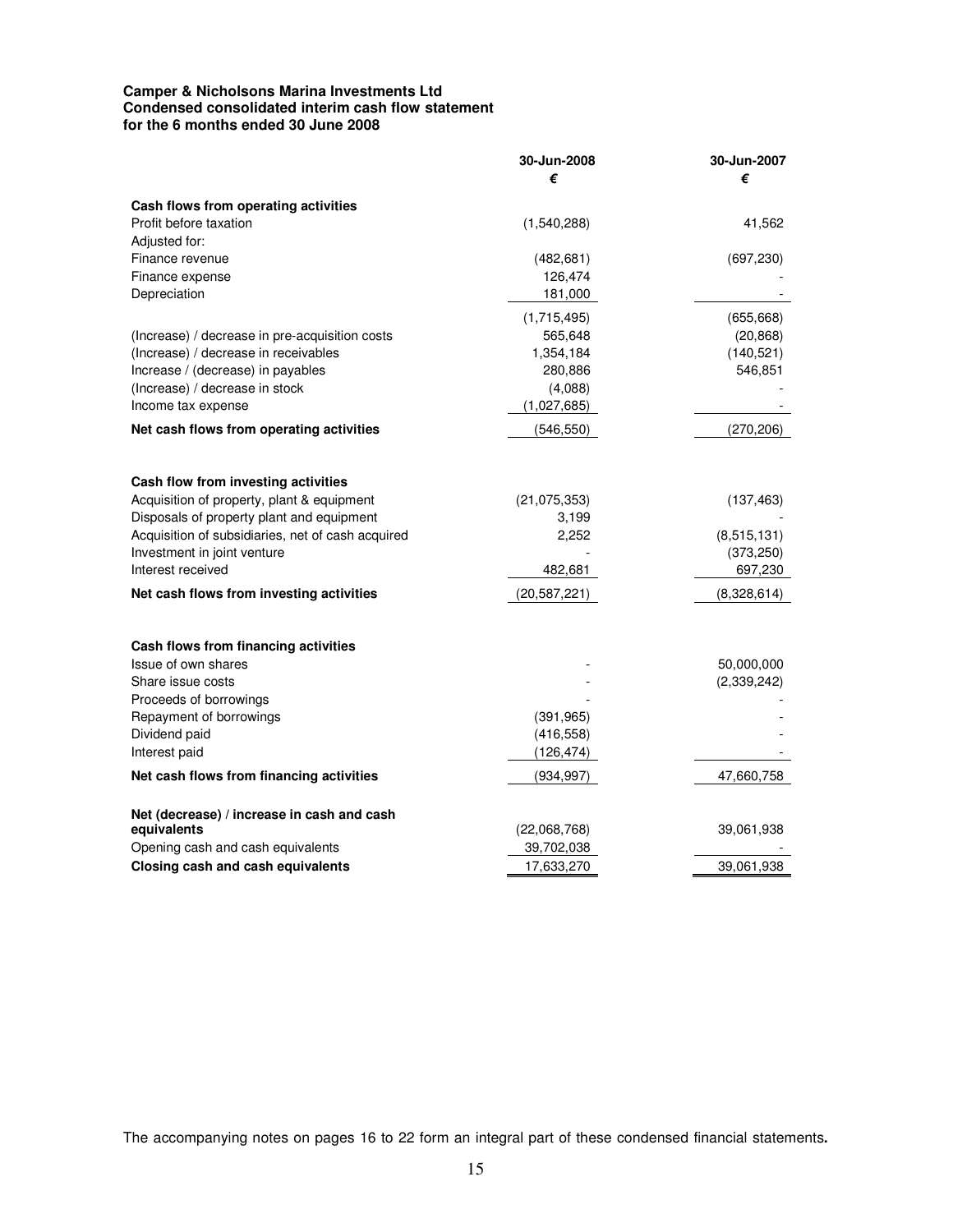## **Camper & Nicholsons Marina Investments Ltd Condensed consolidated interim cash flow statement for the 6 months ended 30 June 2008**

|                                                   | 30-Jun-2008    | 30-Jun-2007   |
|---------------------------------------------------|----------------|---------------|
|                                                   | €              | €             |
| Cash flows from operating activities              |                |               |
| Profit before taxation                            | (1,540,288)    | 41,562        |
| Adjusted for:                                     |                |               |
| Finance revenue                                   | (482, 681)     | (697, 230)    |
| Finance expense                                   | 126,474        |               |
| Depreciation                                      | 181,000        |               |
|                                                   | (1,715,495)    | (655, 668)    |
| (Increase) / decrease in pre-acquisition costs    | 565,648        | (20, 868)     |
| (Increase) / decrease in receivables              | 1,354,184      | (140, 521)    |
| Increase / (decrease) in payables                 | 280,886        | 546,851       |
| (Increase) / decrease in stock                    | (4,088)        |               |
| Income tax expense                                | (1,027,685)    |               |
| Net cash flows from operating activities          | (546, 550)     | (270, 206)    |
|                                                   |                |               |
| Cash flow from investing activities               |                |               |
| Acquisition of property, plant & equipment        | (21, 075, 353) | (137, 463)    |
| Disposals of property plant and equipment         | 3,199          |               |
| Acquisition of subsidiaries, net of cash acquired | 2,252          | (8, 515, 131) |
| Investment in joint venture                       |                | (373, 250)    |
| Interest received                                 | 482,681        | 697,230       |
| Net cash flows from investing activities          | (20, 587, 221) | (8,328,614)   |
|                                                   |                |               |
| Cash flows from financing activities              |                |               |
| Issue of own shares                               |                | 50,000,000    |
| Share issue costs<br>Proceeds of borrowings       |                | (2,339,242)   |
| Repayment of borrowings                           | (391, 965)     |               |
| Dividend paid                                     | (416, 558)     |               |
| Interest paid                                     | (126, 474)     |               |
| Net cash flows from financing activities          | (934, 997)     | 47,660,758    |
|                                                   |                |               |
| Net (decrease) / increase in cash and cash        |                |               |
| equivalents                                       | (22,068,768)   | 39,061,938    |
| Opening cash and cash equivalents                 | 39,702,038     |               |
| Closing cash and cash equivalents                 | 17,633,270     | 39,061,938    |

The accompanying notes on pages 16 to 22 form an integral part of these condensed financial statements**.**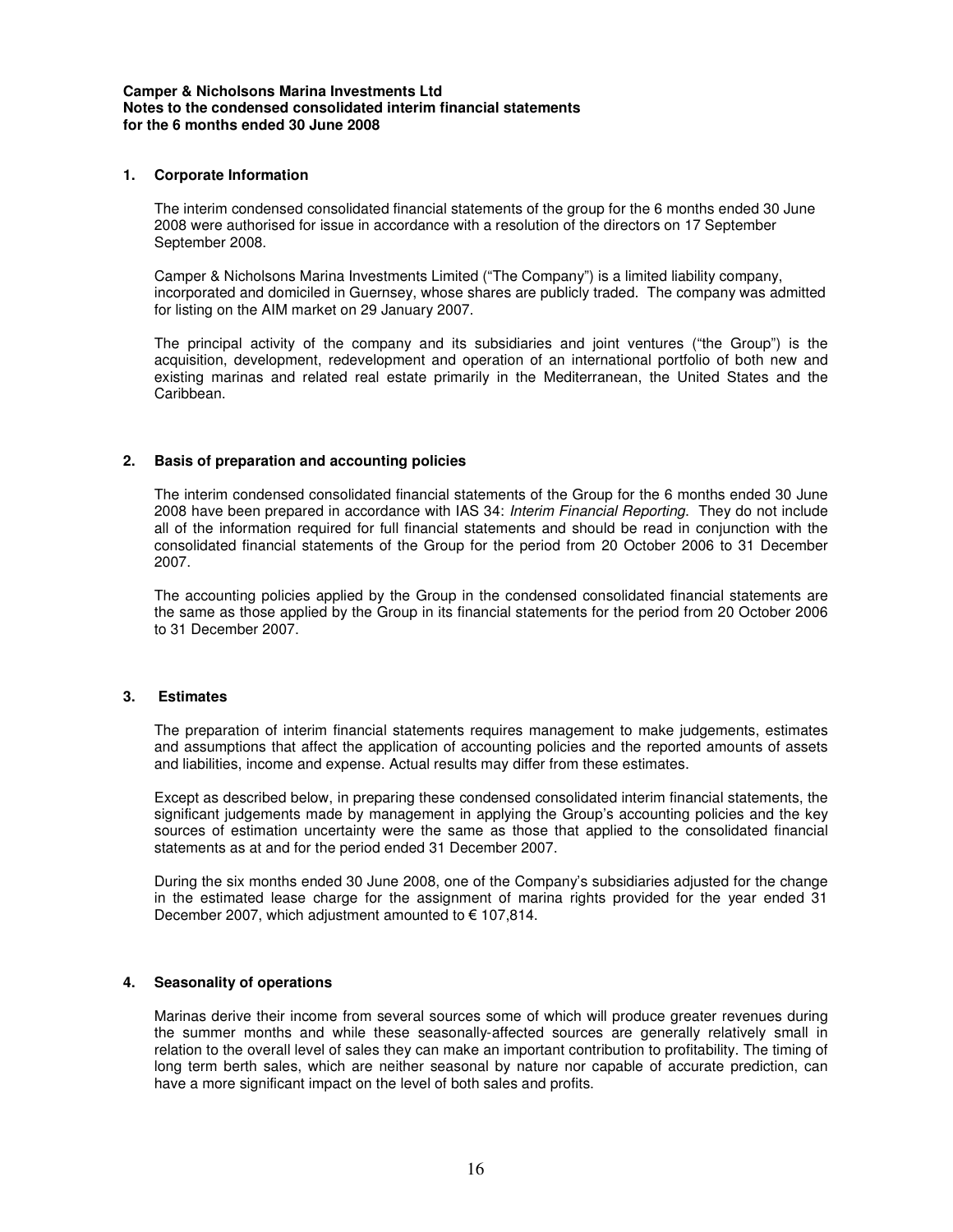## **1. Corporate Information**

The interim condensed consolidated financial statements of the group for the 6 months ended 30 June 2008 were authorised for issue in accordance with a resolution of the directors on 17 September September 2008.

Camper & Nicholsons Marina Investments Limited ("The Company") is a limited liability company, incorporated and domiciled in Guernsey, whose shares are publicly traded. The company was admitted for listing on the AIM market on 29 January 2007.

The principal activity of the company and its subsidiaries and joint ventures ("the Group") is the acquisition, development, redevelopment and operation of an international portfolio of both new and existing marinas and related real estate primarily in the Mediterranean, the United States and the Caribbean.

# **2. Basis of preparation and accounting policies**

The interim condensed consolidated financial statements of the Group for the 6 months ended 30 June 2008 have been prepared in accordance with IAS 34: Interim Financial Reporting. They do not include all of the information required for full financial statements and should be read in conjunction with the consolidated financial statements of the Group for the period from 20 October 2006 to 31 December 2007.

The accounting policies applied by the Group in the condensed consolidated financial statements are the same as those applied by the Group in its financial statements for the period from 20 October 2006 to 31 December 2007.

## **3. Estimates**

The preparation of interim financial statements requires management to make judgements, estimates and assumptions that affect the application of accounting policies and the reported amounts of assets and liabilities, income and expense. Actual results may differ from these estimates.

Except as described below, in preparing these condensed consolidated interim financial statements, the significant judgements made by management in applying the Group's accounting policies and the key sources of estimation uncertainty were the same as those that applied to the consolidated financial statements as at and for the period ended 31 December 2007.

During the six months ended 30 June 2008, one of the Company's subsidiaries adjusted for the change in the estimated lease charge for the assignment of marina rights provided for the year ended 31 December 2007, which adjustment amounted to € 107,814.

### **4. Seasonality of operations**

Marinas derive their income from several sources some of which will produce greater revenues during the summer months and while these seasonally-affected sources are generally relatively small in relation to the overall level of sales they can make an important contribution to profitability. The timing of long term berth sales, which are neither seasonal by nature nor capable of accurate prediction, can have a more significant impact on the level of both sales and profits.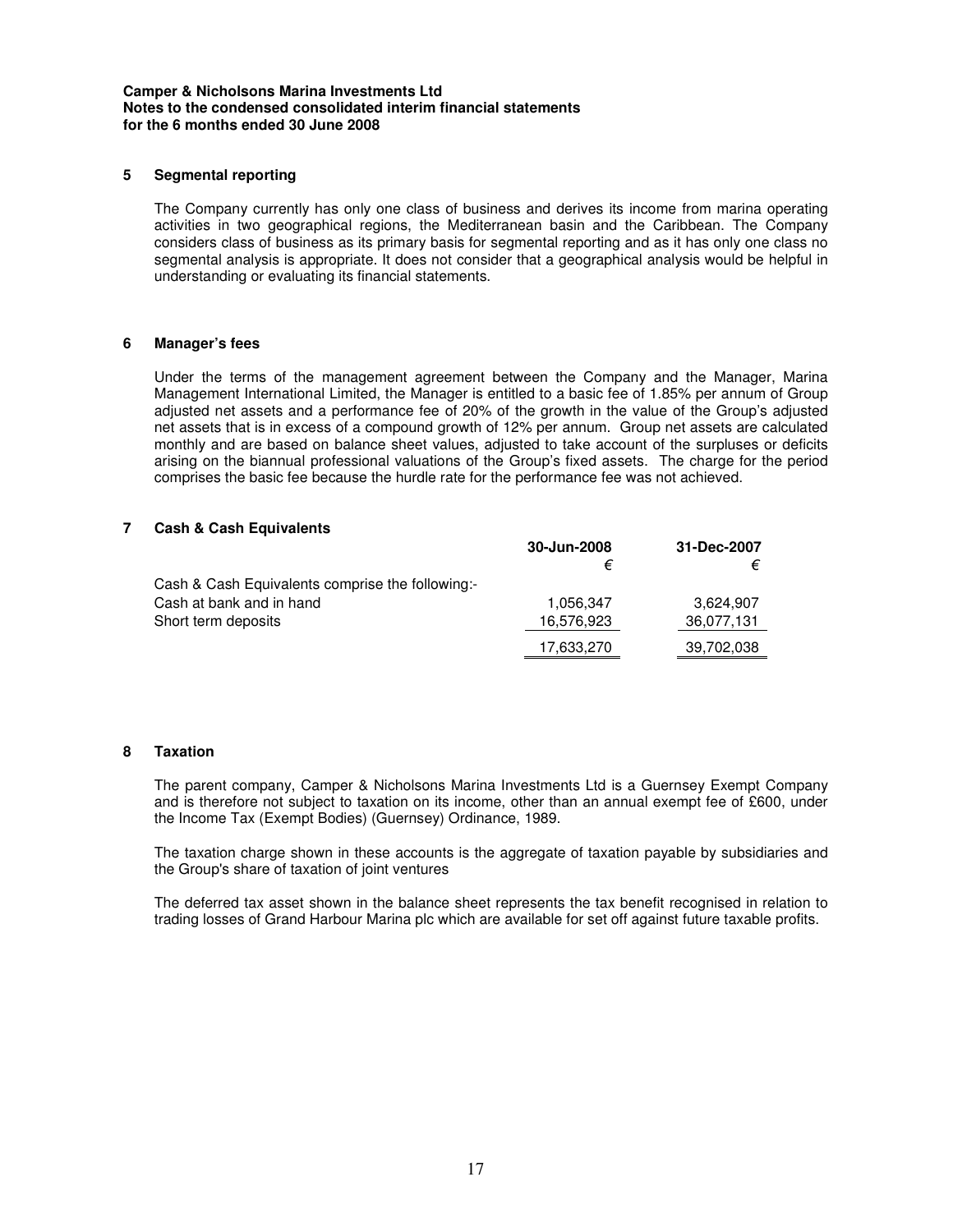## **5 Segmental reporting**

The Company currently has only one class of business and derives its income from marina operating activities in two geographical regions, the Mediterranean basin and the Caribbean. The Company considers class of business as its primary basis for segmental reporting and as it has only one class no segmental analysis is appropriate. It does not consider that a geographical analysis would be helpful in understanding or evaluating its financial statements.

## **6 Manager's fees**

Under the terms of the management agreement between the Company and the Manager, Marina Management International Limited, the Manager is entitled to a basic fee of 1.85% per annum of Group adjusted net assets and a performance fee of 20% of the growth in the value of the Group's adjusted net assets that is in excess of a compound growth of 12% per annum. Group net assets are calculated monthly and are based on balance sheet values, adjusted to take account of the surpluses or deficits arising on the biannual professional valuations of the Group's fixed assets. The charge for the period comprises the basic fee because the hurdle rate for the performance fee was not achieved.

## **7 Cash & Cash Equivalents**

|                                                  | 30-Jun-2008 | 31-Dec-2007 |
|--------------------------------------------------|-------------|-------------|
|                                                  |             |             |
| Cash & Cash Equivalents comprise the following:- |             |             |
| Cash at bank and in hand                         | 1.056.347   | 3.624.907   |
| Short term deposits                              | 16,576,923  | 36,077,131  |
|                                                  | 17,633,270  | 39,702,038  |

### **8 Taxation**

The parent company, Camper & Nicholsons Marina Investments Ltd is a Guernsey Exempt Company and is therefore not subject to taxation on its income, other than an annual exempt fee of £600, under the Income Tax (Exempt Bodies) (Guernsey) Ordinance, 1989.

The taxation charge shown in these accounts is the aggregate of taxation payable by subsidiaries and the Group's share of taxation of joint ventures

The deferred tax asset shown in the balance sheet represents the tax benefit recognised in relation to trading losses of Grand Harbour Marina plc which are available for set off against future taxable profits.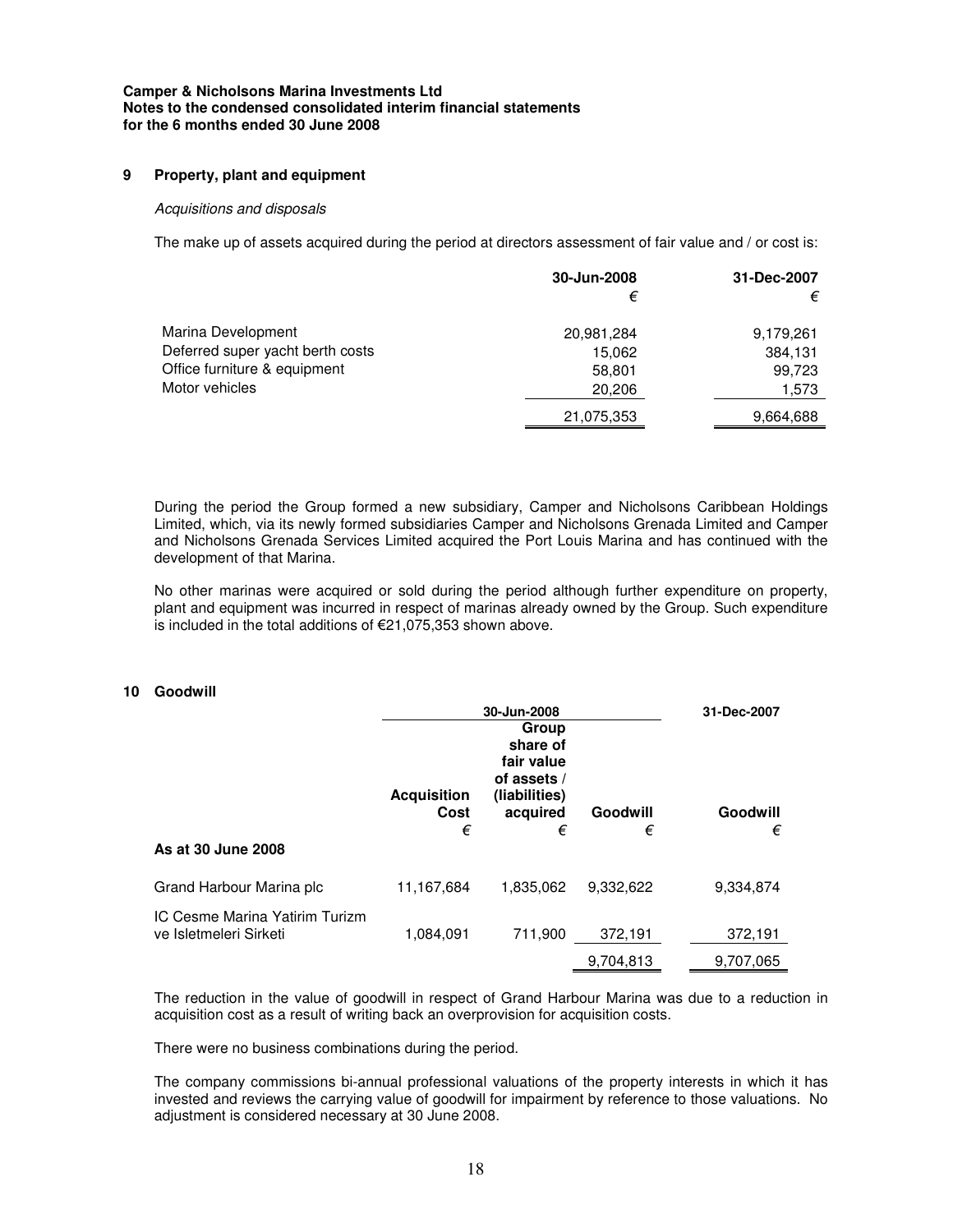## **9 Property, plant and equipment**

### Acquisitions and disposals

The make up of assets acquired during the period at directors assessment of fair value and / or cost is:

|                                  | 30-Jun-2008 | 31-Dec-2007 |
|----------------------------------|-------------|-------------|
|                                  | €           | €           |
| Marina Development               | 20,981,284  | 9,179,261   |
| Deferred super yacht berth costs | 15.062      | 384,131     |
| Office furniture & equipment     | 58,801      | 99,723      |
| Motor vehicles                   | 20,206      | 1,573       |
|                                  | 21,075,353  | 9,664,688   |

During the period the Group formed a new subsidiary, Camper and Nicholsons Caribbean Holdings Limited, which, via its newly formed subsidiaries Camper and Nicholsons Grenada Limited and Camper and Nicholsons Grenada Services Limited acquired the Port Louis Marina and has continued with the development of that Marina.

No other marinas were acquired or sold during the period although further expenditure on property, plant and equipment was incurred in respect of marinas already owned by the Group. Such expenditure is included in the total additions of €21,075,353 shown above.

### **10 Goodwill**

|                                                          | 30-Jun-2008<br>Group<br>share of<br>fair value<br>of assets / |                                |                      | 31-Dec-2007          |  |
|----------------------------------------------------------|---------------------------------------------------------------|--------------------------------|----------------------|----------------------|--|
| As at 30 June 2008                                       | <b>Acquisition</b><br>Cost<br>€                               | (liabilities)<br>acquired<br>€ | Goodwill<br>€        | Goodwill<br>€        |  |
| Grand Harbour Marina plc                                 | 11,167,684                                                    | 1,835,062                      | 9,332,622            | 9,334,874            |  |
| IC Cesme Marina Yatirim Turizm<br>ve Isletmeleri Sirketi | 1,084,091                                                     | 711,900                        | 372,191<br>9.704.813 | 372,191<br>9.707.065 |  |

The reduction in the value of goodwill in respect of Grand Harbour Marina was due to a reduction in acquisition cost as a result of writing back an overprovision for acquisition costs.

There were no business combinations during the period.

The company commissions bi-annual professional valuations of the property interests in which it has invested and reviews the carrying value of goodwill for impairment by reference to those valuations. No adjustment is considered necessary at 30 June 2008.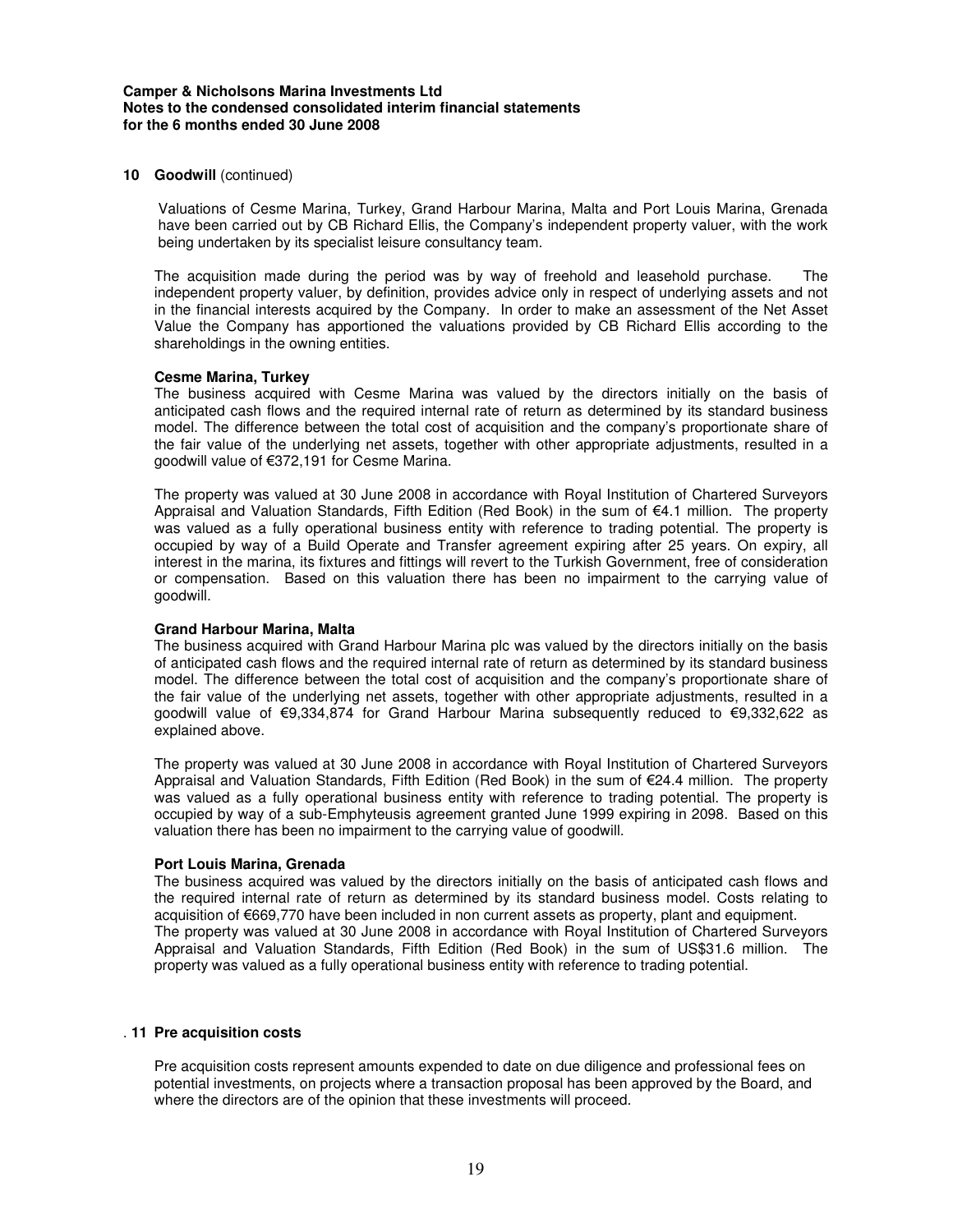### **10 Goodwill** (continued)

Valuations of Cesme Marina, Turkey, Grand Harbour Marina, Malta and Port Louis Marina, Grenada have been carried out by CB Richard Ellis, the Company's independent property valuer, with the work being undertaken by its specialist leisure consultancy team.

The acquisition made during the period was by way of freehold and leasehold purchase. The independent property valuer, by definition, provides advice only in respect of underlying assets and not in the financial interests acquired by the Company. In order to make an assessment of the Net Asset Value the Company has apportioned the valuations provided by CB Richard Ellis according to the shareholdings in the owning entities.

### **Cesme Marina, Turkey**

The business acquired with Cesme Marina was valued by the directors initially on the basis of anticipated cash flows and the required internal rate of return as determined by its standard business model. The difference between the total cost of acquisition and the company's proportionate share of the fair value of the underlying net assets, together with other appropriate adjustments, resulted in a goodwill value of €372,191 for Cesme Marina.

The property was valued at 30 June 2008 in accordance with Royal Institution of Chartered Surveyors Appraisal and Valuation Standards, Fifth Edition (Red Book) in the sum of €4.1 million. The property was valued as a fully operational business entity with reference to trading potential. The property is occupied by way of a Build Operate and Transfer agreement expiring after 25 years. On expiry, all interest in the marina, its fixtures and fittings will revert to the Turkish Government, free of consideration or compensation. Based on this valuation there has been no impairment to the carrying value of goodwill.

### **Grand Harbour Marina, Malta**

The business acquired with Grand Harbour Marina plc was valued by the directors initially on the basis of anticipated cash flows and the required internal rate of return as determined by its standard business model. The difference between the total cost of acquisition and the company's proportionate share of the fair value of the underlying net assets, together with other appropriate adjustments, resulted in a goodwill value of €9,334,874 for Grand Harbour Marina subsequently reduced to €9,332,622 as explained above.

The property was valued at 30 June 2008 in accordance with Royal Institution of Chartered Surveyors Appraisal and Valuation Standards, Fifth Edition (Red Book) in the sum of €24.4 million. The property was valued as a fully operational business entity with reference to trading potential. The property is occupied by way of a sub-Emphyteusis agreement granted June 1999 expiring in 2098. Based on this valuation there has been no impairment to the carrying value of goodwill.

### **Port Louis Marina, Grenada**

The business acquired was valued by the directors initially on the basis of anticipated cash flows and the required internal rate of return as determined by its standard business model. Costs relating to acquisition of €669,770 have been included in non current assets as property, plant and equipment. The property was valued at 30 June 2008 in accordance with Royal Institution of Chartered Surveyors Appraisal and Valuation Standards, Fifth Edition (Red Book) in the sum of US\$31.6 million. The property was valued as a fully operational business entity with reference to trading potential.

#### . **11 Pre acquisition costs**

Pre acquisition costs represent amounts expended to date on due diligence and professional fees on potential investments, on projects where a transaction proposal has been approved by the Board, and where the directors are of the opinion that these investments will proceed.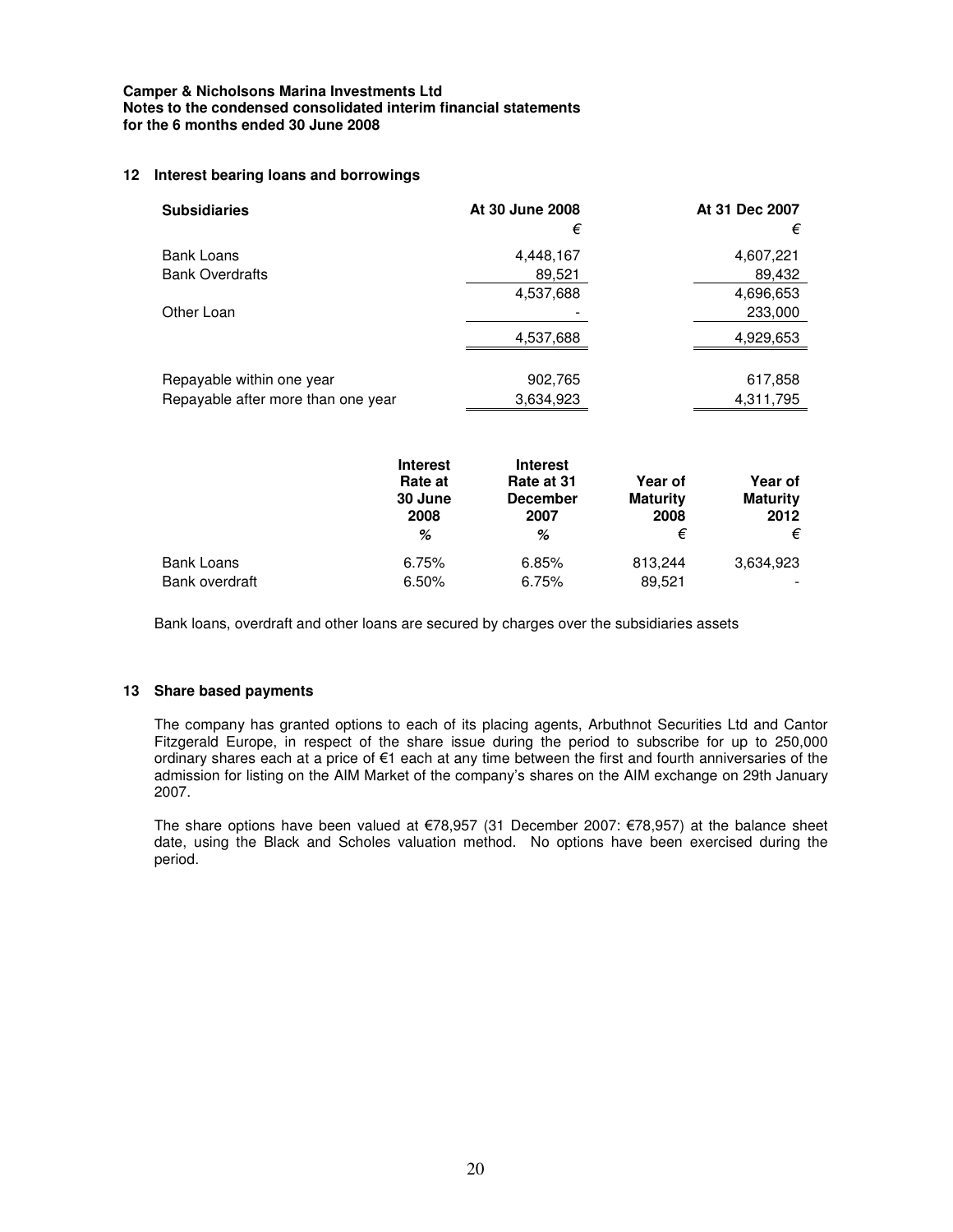## **12 Interest bearing loans and borrowings**

| <b>Subsidiaries</b>                | At 30 June 2008<br>€ | At 31 Dec 2007<br>€ |
|------------------------------------|----------------------|---------------------|
| <b>Bank Loans</b>                  | 4,448,167            | 4,607,221           |
| <b>Bank Overdrafts</b>             | 89,521               | 89,432              |
|                                    | 4,537,688            | 4,696,653           |
| Other Loan                         |                      | 233,000             |
|                                    | 4,537,688            | 4,929,653           |
|                                    |                      |                     |
| Repayable within one year          | 902,765              | 617,858             |
| Repayable after more than one year | 3,634,923            | 4,311,795           |

|                   | <b>Interest</b><br>Rate at<br>30 June<br>2008<br>% | <b>Interest</b><br>Rate at 31<br><b>December</b><br>2007<br>% | Year of<br><b>Maturity</b><br>2008<br>€ | Year of<br><b>Maturity</b><br>2012<br>€ |
|-------------------|----------------------------------------------------|---------------------------------------------------------------|-----------------------------------------|-----------------------------------------|
| <b>Bank Loans</b> | 6.75%                                              | 6.85%                                                         | 813.244                                 | 3,634,923                               |
| Bank overdraft    | 6.50%                                              | 6.75%                                                         | 89,521                                  |                                         |

Bank loans, overdraft and other loans are secured by charges over the subsidiaries assets

## **13 Share based payments**

The company has granted options to each of its placing agents, Arbuthnot Securities Ltd and Cantor Fitzgerald Europe, in respect of the share issue during the period to subscribe for up to 250,000 ordinary shares each at a price of €1 each at any time between the first and fourth anniversaries of the admission for listing on the AIM Market of the company's shares on the AIM exchange on 29th January 2007.

The share options have been valued at €78,957 (31 December 2007: €78,957) at the balance sheet date, using the Black and Scholes valuation method. No options have been exercised during the period.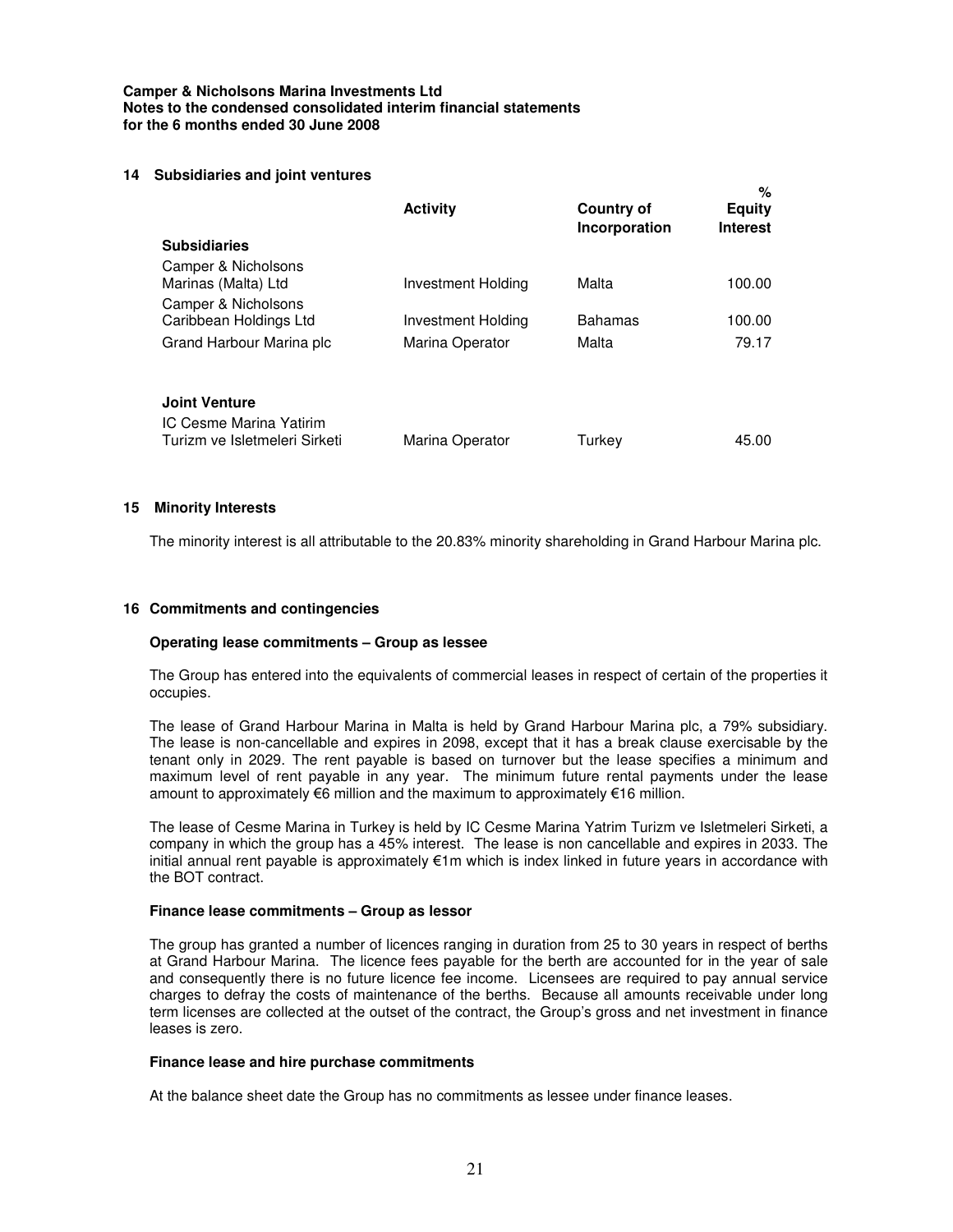## **14 Subsidiaries and joint ventures**

|                                                          | <b>Activity</b>    | <b>Country of</b><br>Incorporation | 70<br><b>Equity</b><br><b>Interest</b> |
|----------------------------------------------------------|--------------------|------------------------------------|----------------------------------------|
| <b>Subsidiaries</b>                                      |                    |                                    |                                        |
| Camper & Nicholsons<br>Marinas (Malta) Ltd               | Investment Holding | Malta                              | 100.00                                 |
| Camper & Nicholsons                                      |                    |                                    |                                        |
| Caribbean Holdings Ltd                                   | Investment Holding | <b>Bahamas</b>                     | 100.00                                 |
| Grand Harbour Marina plc                                 | Marina Operator    | Malta                              | 79.17                                  |
|                                                          |                    |                                    |                                        |
| <b>Joint Venture</b>                                     |                    |                                    |                                        |
| IC Cesme Marina Yatirim<br>Turizm ve Isletmeleri Sirketi | Marina Operator    | Turkey                             | 45.00                                  |

**%** 

### **15 Minority Interests**

The minority interest is all attributable to the 20.83% minority shareholding in Grand Harbour Marina plc.

## **16 Commitments and contingencies**

### **Operating lease commitments – Group as lessee**

The Group has entered into the equivalents of commercial leases in respect of certain of the properties it occupies.

The lease of Grand Harbour Marina in Malta is held by Grand Harbour Marina plc, a 79% subsidiary. The lease is non-cancellable and expires in 2098, except that it has a break clause exercisable by the tenant only in 2029. The rent payable is based on turnover but the lease specifies a minimum and maximum level of rent payable in any year. The minimum future rental payments under the lease amount to approximately  $\epsilon$ 6 million and the maximum to approximately  $\epsilon$ 16 million.

The lease of Cesme Marina in Turkey is held by IC Cesme Marina Yatrim Turizm ve Isletmeleri Sirketi, a company in which the group has a 45% interest. The lease is non cancellable and expires in 2033. The initial annual rent payable is approximately €1m which is index linked in future years in accordance with the BOT contract.

### **Finance lease commitments – Group as lessor**

The group has granted a number of licences ranging in duration from 25 to 30 years in respect of berths at Grand Harbour Marina. The licence fees payable for the berth are accounted for in the year of sale and consequently there is no future licence fee income. Licensees are required to pay annual service charges to defray the costs of maintenance of the berths. Because all amounts receivable under long term licenses are collected at the outset of the contract, the Group's gross and net investment in finance leases is zero.

### **Finance lease and hire purchase commitments**

At the balance sheet date the Group has no commitments as lessee under finance leases.